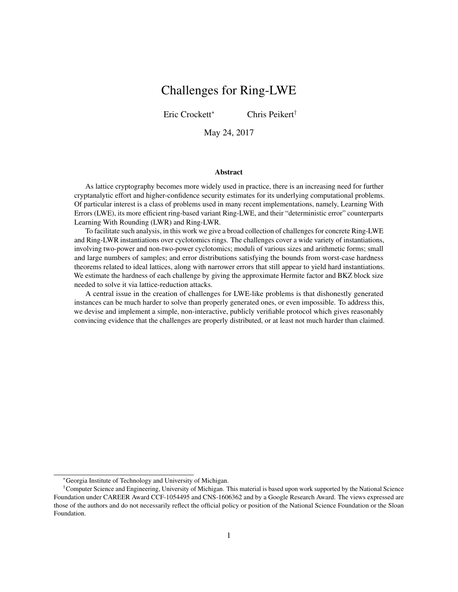# Challenges for Ring-LWE

Eric Crockett\* Chris Peikert†

May 24, 2017

#### Abstract

As lattice cryptography becomes more widely used in practice, there is an increasing need for further cryptanalytic effort and higher-confidence security estimates for its underlying computational problems. Of particular interest is a class of problems used in many recent implementations, namely, Learning With Errors (LWE), its more efficient ring-based variant Ring-LWE, and their "deterministic error" counterparts Learning With Rounding (LWR) and Ring-LWR.

To facilitate such analysis, in this work we give a broad collection of challenges for concrete Ring-LWE and Ring-LWR instantiations over cyclotomics rings. The challenges cover a wide variety of instantiations, involving two-power and non-two-power cyclotomics; moduli of various sizes and arithmetic forms; small and large numbers of samples; and error distributions satisfying the bounds from worst-case hardness theorems related to ideal lattices, along with narrower errors that still appear to yield hard instantiations. We estimate the hardness of each challenge by giving the approximate Hermite factor and BKZ block size needed to solve it via lattice-reduction attacks.

A central issue in the creation of challenges for LWE-like problems is that dishonestly generated instances can be much harder to solve than properly generated ones, or even impossible. To address this, we devise and implement a simple, non-interactive, publicly verifiable protocol which gives reasonably convincing evidence that the challenges are properly distributed, or at least not much harder than claimed.

<sup>\*</sup>Georgia Institute of Technology and University of Michigan.

<sup>†</sup>Computer Science and Engineering, University of Michigan. This material is based upon work supported by the National Science Foundation under CAREER Award CCF-1054495 and CNS-1606362 and by a Google Research Award. The views expressed are those of the authors and do not necessarily reflect the official policy or position of the National Science Foundation or the Sloan Foundation.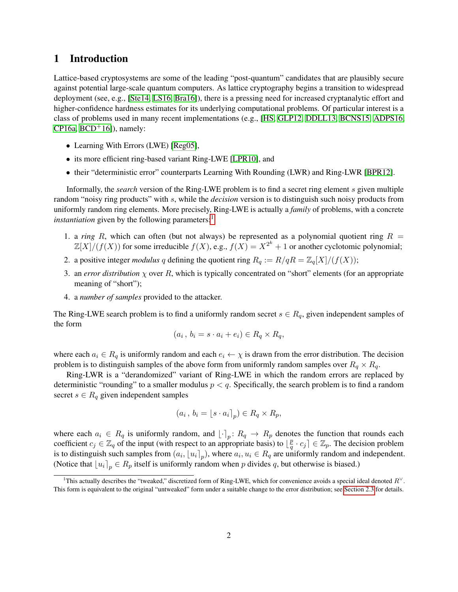## 1 Introduction

Lattice-based cryptosystems are some of the leading "post-quantum" candidates that are plausibly secure against potential large-scale quantum computers. As lattice cryptography begins a transition to widespread deployment (see, e.g., [\[Ste14,](#page-26-0) [LS16,](#page-25-0) [Bra16\]](#page-23-0)), there is a pressing need for increased cryptanalytic effort and higher-confidence hardness estimates for its underlying computational problems. Of particular interest is a class of problems used in many recent implementations (e.g., [\[HS,](#page-24-0) [GLP12,](#page-24-1) [DDLL13,](#page-23-1) [BCNS15,](#page-22-0) [ADPS16,](#page-22-1) [CP16a,](#page-23-2)  $BCD<sup>+</sup>16$ ]), namely:

- ∙ Learning With Errors (LWE) [\[Reg05\]](#page-26-1),
- ∙ its more efficient ring-based variant Ring-LWE [\[LPR10\]](#page-25-1), and
- ∙ their "deterministic error" counterparts Learning With Rounding (LWR) and Ring-LWR [\[BPR12\]](#page-23-3).

Informally, the *search* version of the Ring-LWE problem is to find a secret ring element s given multiple random "noisy ring products" with s, while the *decision* version is to distinguish such noisy products from uniformly random ring elements. More precisely, Ring-LWE is actually a *family* of problems, with a concrete *instantiation* given by the following parameters:<sup>[1](#page-1-0)</sup>

- 1. a *ring* R, which can often (but not always) be represented as a polynomial quotient ring  $R =$  $\mathbb{Z}[X]/(f(X))$  for some irreducible  $f(X)$ , e.g.,  $f(X) = X^{2^k} + 1$  or another cyclotomic polynomial;
- 2. a positive integer *modulus* q defining the quotient ring  $R_q := R/qR = \mathbb{Z}_q[X]/(f(X));$
- 3. an *error distribution*  $\chi$  over R, which is typically concentrated on "short" elements (for an appropriate meaning of "short");
- 4. a *number of samples* provided to the attacker.

The Ring-LWE search problem is to find a uniformly random secret  $s \in R_q$ , given independent samples of the form

$$
(a_i, b_i = s \cdot a_i + e_i) \in R_q \times R_q,
$$

where each  $a_i \in R_q$  is uniformly random and each  $e_i \leftarrow \chi$  is drawn from the error distribution. The decision problem is to distinguish samples of the above form from uniformly random samples over  $R_q \times R_q$ .

Ring-LWR is a "derandomized" variant of Ring-LWE in which the random errors are replaced by deterministic "rounding" to a smaller modulus  $p < q$ . Specifically, the search problem is to find a random secret  $s \in R_q$  given independent samples

$$
(a_i, b_i = [s \cdot a_i]_p) \in R_q \times R_p,
$$

where each  $a_i \in R_q$  is uniformly random, and  $\lfloor \cdot \rceil_p : R_q \to R_p$  denotes the function that rounds each coefficient  $c_j \in \mathbb{Z}_q$  of the input (with respect to an appropriate basis) to  $\lfloor \frac{p}{q} \rfloor$  $\left[\frac{p}{q} \cdot c_j\right] \in \mathbb{Z}_p$ . The decision problem is to distinguish such samples from  $(a_i, [u_i]_p)$ , where  $a_i, u_i \in R_q$  are uniformly random and independent. (Notice that  $[u_i]_p \in R_p$  itself is uniformly random when p divides q, but otherwise is biased.)

<span id="page-1-0"></span><sup>&</sup>lt;sup>1</sup>This actually describes the "tweaked," discretized form of Ring-LWE, which for convenience avoids a special ideal denoted  $R^{\vee}$ . This form is equivalent to the original "untweaked" form under a suitable change to the error distribution; see [Section 2.3](#page-11-0) for details.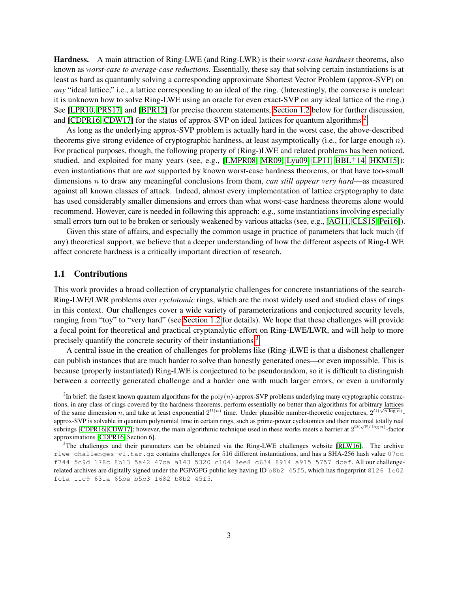Hardness. A main attraction of Ring-LWE (and Ring-LWR) is their *worst-case hardness* theorems, also known as *worst-case to average-case reductions*. Essentially, these say that solving certain instantiations is at least as hard as quantumly solving a corresponding approximate Shortest Vector Problem (approx-SVP) on *any* "ideal lattice," i.e., a lattice corresponding to an ideal of the ring. (Interestingly, the converse is unclear: it is unknown how to solve Ring-LWE using an oracle for even exact-SVP on any ideal lattice of the ring.) See [\[LPR10,](#page-25-1) [PRS17\]](#page-26-2) and [\[BPR12\]](#page-23-3) for precise theorem statements, [Section 1.2](#page-4-0) below for further discussion, and [\[CDPR16,](#page-23-4) [CDW17\]](#page-23-5) for the status of approx-SVP on ideal lattices for quantum algorithms.<sup>[2](#page-2-0)</sup>

As long as the underlying approx-SVP problem is actually hard in the worst case, the above-described theorems give strong evidence of cryptographic hardness, at least asymptotically (i.e., for large enough  $n$ ). For practical purposes, though, the following property of (Ring-)LWE and related problems has been noticed, studied, and exploited for many years (see, e.g., [\[LMPR08,](#page-24-2) [MR09,](#page-25-2) [Lyu09,](#page-25-3) [LP11,](#page-25-4) [BBL](#page-22-3)<sup>+</sup>14, [HKM15\]](#page-24-3)): even instantiations that are *not* supported by known worst-case hardness theorems, or that have too-small dimensions to draw any meaningful conclusions from them, *can still appear very hard*—as measured against all known classes of attack. Indeed, almost every implementation of lattice cryptography to date has used considerably smaller dimensions and errors than what worst-case hardness theorems alone would recommend. However, care is needed in following this approach: e.g., some instantiations involving especially small errors turn out to be broken or seriously weakened by various attacks (see, e.g., [\[AG11,](#page-22-4) [CLS15,](#page-23-6) [Pei16\]](#page-26-3)).

Given this state of affairs, and especially the common usage in practice of parameters that lack much (if any) theoretical support, we believe that a deeper understanding of how the different aspects of Ring-LWE affect concrete hardness is a critically important direction of research.

### 1.1 Contributions

This work provides a broad collection of cryptanalytic challenges for concrete instantiations of the search-Ring-LWE/LWR problems over *cyclotomic* rings, which are the most widely used and studied class of rings in this context. Our challenges cover a wide variety of parameterizations and conjectured security levels, ranging from "toy" to "very hard" (see [Section 1.2](#page-4-0) for details). We hope that these challenges will provide a focal point for theoretical and practical cryptanalytic effort on Ring-LWE/LWR, and will help to more precisely quantify the concrete security of their instantiations.<sup>[3](#page-2-1)</sup>

A central issue in the creation of challenges for problems like (Ring-)LWE is that a dishonest challenger can publish instances that are much harder to solve than honestly generated ones—or even impossible. This is because (properly instantiated) Ring-LWE is conjectured to be pseudorandom, so it is difficult to distinguish between a correctly generated challenge and a harder one with much larger errors, or even a uniformly

<span id="page-2-0"></span><sup>&</sup>lt;sup>2</sup>In brief: the fastest known quantum algorithms for the  $poly(n)$ -approx-SVP problems underlying many cryptographic constructions, in any class of rings covered by the hardness theorems, perform essentially no better than algorithms for arbitrary lattices of the same dimension n, and take at least exponential  $2^{\Omega(n)}$  time. Under plausible number-theoretic conjectures,  $2^{O(\sqrt{n \log n})}$ . approx-SVP is solvable in quantum polynomial time in certain rings, such as prime-power cyclotomics and their maximal totally real subrings [\[CDPR16,](#page-23-4) [CDW17\]](#page-23-5); however, the main algorithmic technique used in these works meets a barrier at  $2^{\Omega(\sqrt{n}/\log n)}$ -factor approximations [\[CDPR16,](#page-23-4) Section 6].

<span id="page-2-1"></span><sup>&</sup>lt;sup>3</sup>The challenges and their parameters can be obtained via the Ring-LWE challenges website [\[RLW16\]](#page-26-4). The archive rlwe-challenges-v1.tar.gz contains challenges for 516 different instantiations, and has a SHA-256 hash value 07cd f744 5c9d 178c 8b13 5a42 47ca a143 5320 c104 8ee8 c634 8914 a915 5757 dcef. All our challengerelated archives are digitally signed under the PGP/GPG public key having ID b8b2 45f5, which has fingerprint 8126 1e02 fc1a 11c9 631a 65be b5b3 1682 b8b2 45f5.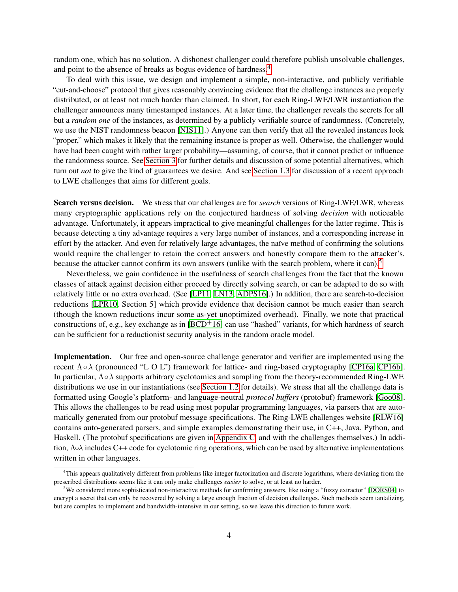random one, which has no solution. A dishonest challenger could therefore publish unsolvable challenges, and point to the absence of breaks as bogus evidence of hardness.[4](#page-3-0)

To deal with this issue, we design and implement a simple, non-interactive, and publicly verifiable "cut-and-choose" protocol that gives reasonably convincing evidence that the challenge instances are properly distributed, or at least not much harder than claimed. In short, for each Ring-LWE/LWR instantiation the challenger announces many timestamped instances. At a later time, the challenger reveals the secrets for all but a *random one* of the instances, as determined by a publicly verifiable source of randomness. (Concretely, we use the NIST randomness beacon [\[NIS11\]](#page-26-5).) Anyone can then verify that all the revealed instances look "proper," which makes it likely that the remaining instance is proper as well. Otherwise, the challenger would have had been caught with rather larger probability—assuming, of course, that it cannot predict or influence the randomness source. See [Section 3](#page-12-0) for further details and discussion of some potential alternatives, which turn out *not* to give the kind of guarantees we desire. And see [Section 1.3](#page-7-0) for discussion of a recent approach to LWE challenges that aims for different goals.

Search versus decision. We stress that our challenges are for *search* versions of Ring-LWE/LWR, whereas many cryptographic applications rely on the conjectured hardness of solving *decision* with noticeable advantage. Unfortunately, it appears impractical to give meaningful challenges for the latter regime. This is because detecting a tiny advantage requires a very large number of instances, and a corresponding increase in effort by the attacker. And even for relatively large advantages, the naïve method of confirming the solutions would require the challenger to retain the correct answers and honestly compare them to the attacker's, because the attacker cannot confirm its own answers (unlike with the search problem, where it can).<sup>[5](#page-3-1)</sup>

Nevertheless, we gain confidence in the usefulness of search challenges from the fact that the known classes of attack against decision either proceed by directly solving search, or can be adapted to do so with relatively little or no extra overhead. (See [\[LP11,](#page-25-4) [LN13,](#page-25-5) [ADPS16\]](#page-22-1).) In addition, there are search-to-decision reductions [\[LPR10,](#page-25-1) Section 5] which provide evidence that decision cannot be much easier than search (though the known reductions incur some as-yet unoptimized overhead). Finally, we note that practical constructions of, e.g., key exchange as in  $[BCD<sup>+</sup>16]$  $[BCD<sup>+</sup>16]$  can use "hashed" variants, for which hardness of search can be sufficient for a reductionist security analysis in the random oracle model.

Implementation. Our free and open-source challenge generator and verifier are implemented using the recent  $\Lambda \circ \lambda$  (pronounced "L O L") framework for lattice- and ring-based cryptography [\[CP16a,](#page-23-2) [CP16b\]](#page-23-7). In particular, Λ∘ supports arbitrary cyclotomics and sampling from the theory-recommended Ring-LWE distributions we use in our instantiations (see [Section 1.2](#page-4-0) for details). We stress that all the challenge data is formatted using Google's platform- and language-neutral *protocol buffers* (protobuf) framework [\[Goo08\]](#page-24-4). This allows the challenges to be read using most popular programming languages, via parsers that are automatically generated from our protobuf message specifications. The Ring-LWE challenges website [\[RLW16\]](#page-26-4) contains auto-generated parsers, and simple examples demonstrating their use, in C++, Java, Python, and Haskell. (The protobuf specifications are given in [Appendix C,](#page-29-0) and with the challenges themselves.) In addition, Λολ includes C++ code for cyclotomic ring operations, which can be used by alternative implementations written in other languages.

<span id="page-3-0"></span><sup>&</sup>lt;sup>4</sup>This appears qualitatively different from problems like integer factorization and discrete logarithms, where deviating from the prescribed distributions seems like it can only make challenges *easier* to solve, or at least no harder.

<span id="page-3-1"></span><sup>5</sup>We considered more sophisticated non-interactive methods for confirming answers, like using a "fuzzy extractor" [\[DORS04\]](#page-24-5) to encrypt a secret that can only be recovered by solving a large enough fraction of decision challenges. Such methods seem tantalizing, but are complex to implement and bandwidth-intensive in our setting, so we leave this direction to future work.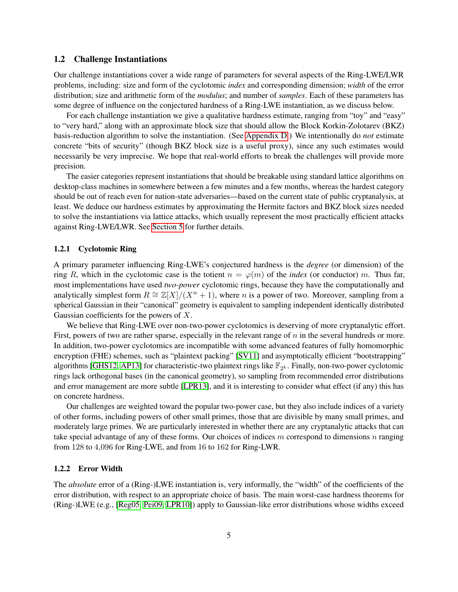### <span id="page-4-0"></span>1.2 Challenge Instantiations

Our challenge instantiations cover a wide range of parameters for several aspects of the Ring-LWE/LWR problems, including: size and form of the cyclotomic *index* and corresponding dimension; *width* of the error distribution; size and arithmetic form of the *modulus*; and number of *samples*. Each of these parameters has some degree of influence on the conjectured hardness of a Ring-LWE instantiation, as we discuss below.

For each challenge instantiation we give a qualitative hardness estimate, ranging from "toy" and "easy" to "very hard," along with an approximate block size that should allow the Block Korkin-Zolotarev (BKZ) basis-reduction algorithm to solve the instantiation. (See [Appendix D.](#page-32-0)) We intentionally do *not* estimate concrete "bits of security" (though BKZ block size is a useful proxy), since any such estimates would necessarily be very imprecise. We hope that real-world efforts to break the challenges will provide more precision.

The easier categories represent instantiations that should be breakable using standard lattice algorithms on desktop-class machines in somewhere between a few minutes and a few months, whereas the hardest category should be out of reach even for nation-state adversaries—based on the current state of public cryptanalysis, at least. We deduce our hardness estimates by approximating the Hermite factors and BKZ block sizes needed to solve the instantiations via lattice attacks, which usually represent the most practically efficient attacks against Ring-LWE/LWR. See [Section 5](#page-19-0) for further details.

### 1.2.1 Cyclotomic Ring

A primary parameter influencing Ring-LWE's conjectured hardness is the *degree* (or dimension) of the ring R, which in the cyclotomic case is the totient  $n = \varphi(m)$  of the *index* (or conductor) m. Thus far, most implementations have used *two-power* cyclotomic rings, because they have the computationally and analytically simplest form  $R \cong \mathbb{Z}[X]/(X^n + 1)$ , where *n* is a power of two. Moreover, sampling from a spherical Gaussian in their "canonical" geometry is equivalent to sampling independent identically distributed Gaussian coefficients for the powers of  $X$ .

We believe that Ring-LWE over non-two-power cyclotomics is deserving of more cryptanalytic effort. First, powers of two are rather sparse, especially in the relevant range of  $n$  in the several hundreds or more. In addition, two-power cyclotomics are incompatible with some advanced features of fully homomorphic encryption (FHE) schemes, such as "plaintext packing" [\[SV11\]](#page-26-6) and asymptotically efficient "bootstrapping" algorithms [\[GHS12,](#page-24-6) [AP13\]](#page-22-5) for characteristic-two plaintext rings like  $\mathbb{F}_{2^k}$ . Finally, non-two-power cyclotomic rings lack orthogonal bases (in the canonical geometry), so sampling from recommended error distributions and error management are more subtle [\[LPR13\]](#page-25-6), and it is interesting to consider what effect (if any) this has on concrete hardness.

Our challenges are weighted toward the popular two-power case, but they also include indices of a variety of other forms, including powers of other small primes, those that are divisible by many small primes, and moderately large primes. We are particularly interested in whether there are any cryptanalytic attacks that can take special advantage of any of these forms. Our choices of indices  $m$  correspond to dimensions  $n$  ranging from 128 to 4,096 for Ring-LWE, and from 16 to 162 for Ring-LWR.

### <span id="page-4-1"></span>1.2.2 Error Width

The *absolute* error of a (Ring-)LWE instantiation is, very informally, the "width" of the coefficients of the error distribution, with respect to an appropriate choice of basis. The main worst-case hardness theorems for (Ring-)LWE (e.g., [\[Reg05,](#page-26-1) [Pei09,](#page-26-7) [LPR10\]](#page-25-1)) apply to Gaussian-like error distributions whose widths exceed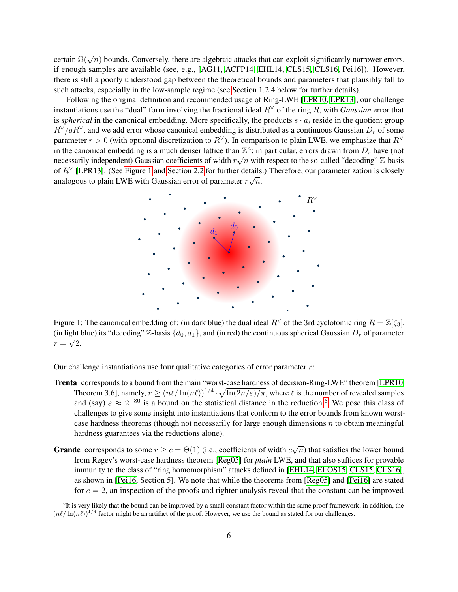certain  $\Omega(\sqrt{n})$  bounds. Conversely, there are algebraic attacks that can exploit significantly narrower errors, if enough samples are available (see, e.g., [\[AG11,](#page-22-4) [ACFP14,](#page-21-0) [EHL14,](#page-24-7) [CLS15,](#page-23-6) [CLS16,](#page-23-8) [Pei16\]](#page-26-3)). However, there is still a poorly understood gap between the theoretical bounds and parameters that plausibly fall to such attacks, especially in the low-sample regime (see [Section 1.2.4](#page-7-1) below for further details).

Following the original definition and recommended usage of Ring-LWE [\[LPR10,](#page-25-1) [LPR13\]](#page-25-6), our challenge instantiations use the "dual" form involving the fractional ideal  $R<sup>V</sup>$  of the ring R, with *Gaussian* error that is *spherical* in the canonical embedding. More specifically, the products  $s \cdot a_i$  reside in the quotient group  $R^\vee/qR^\vee$ , and we add error whose canonical embedding is distributed as a continuous Gaussian  $D_r$  of some parameter  $r > 0$  (with optional discretization to  $R^{\vee}$ ). In comparison to plain LWE, we emphasize that  $R^{\vee}$ in the canonical embedding is a much denser lattice than  $\mathbb{Z}^n$ ; in particular, errors drawn from  $D_r$  have (not In the canonical embedding is a much defiser fattice than  $\mathbb{Z}^n$ , in particular, errors drawn from  $D_r$  have (not necessarily independent) Gaussian coefficients of width  $r\sqrt{n}$  with respect to the so-called "decoding of  $R^{\vee}$  [\[LPR13\]](#page-25-6). (See [Figure 1](#page-5-0) and [Section 2.2](#page-9-0) for further details.) Therefore, our parameterization is closely or  $\pi$  [EFR15]. (See Figure 1 and Section 2.2 for further details analogous to plain LWE with Gaussian error of parameter  $r\sqrt{n}$ .

<span id="page-5-0"></span>

Figure 1: The canonical embedding of: (in dark blue) the dual ideal  $R^{\vee}$  of the 3rd cyclotomic ring  $R = \mathbb{Z}[\zeta_3]$ , (in light blue) its "decoding"  $\mathbb{Z}$ -basis  $\{d_0, d_1\}$ , and (in red) the continuous spherical Gaussian  $D_r$  of parameter  $r=\sqrt{2}$ .

Our challenge instantiations use four qualitative categories of error parameter  $r$ :

- Trenta corresponds to a bound from the main "worst-case hardness of decision-Ring-LWE" theorem [\[LPR10,](#page-25-1) Theorem 3.6], namely,  $r \ge (n\ell/\ln(n\ell))^{1/4} \cdot \sqrt{\ln(2n/\varepsilon)/\pi}$ , where  $\ell$  is the number of revealed samples and (say)  $\varepsilon \approx 2^{-80}$  is a bound on the statistical distance in the reduction.<sup>[6](#page-5-1)</sup> We pose this class of challenges to give some insight into instantiations that conform to the error bounds from known worstcase hardness theorems (though not necessarily for large enough dimensions  $n$  to obtain meaningful hardness guarantees via the reductions alone).
- **Grande** corresponds to some  $r \ge c = \Theta(1)$  (i.e., coefficients of width  $c\sqrt{n}$ ) that satisfies the lower bound from Regev's worst-case hardness theorem [\[Reg05\]](#page-26-1) for *plain* LWE, and that also suffices for provable immunity to the class of "ring homomorphism" attacks defined in [\[EHL14,](#page-24-7) [ELOS15,](#page-24-8) [CLS15,](#page-23-6) [CLS16\]](#page-23-8), as shown in [\[Pei16,](#page-26-3) Section 5]. We note that while the theorems from [\[Reg05\]](#page-26-1) and [\[Pei16\]](#page-26-3) are stated for  $c = 2$ , an inspection of the proofs and tighter analysis reveal that the constant can be improved

<span id="page-5-1"></span><sup>&</sup>lt;sup>6</sup>It is very likely that the bound can be improved by a small constant factor within the same proof framework; in addition, the  $(n\ell/\ln(n\ell))^{1/4}$  factor might be an artifact of the proof. However, we use the bound as stated for our challenges.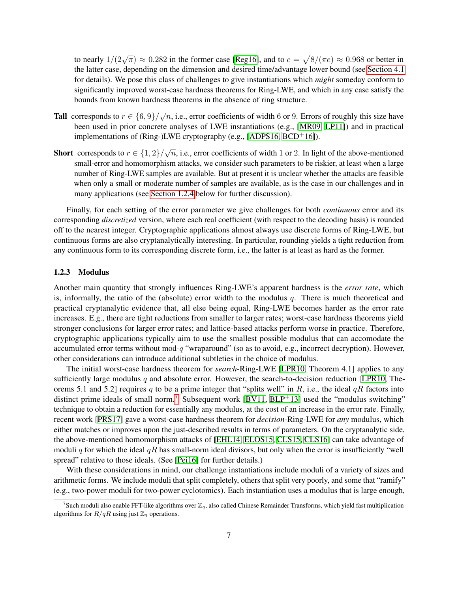to nearly  $1/(2\sqrt{\pi}) \approx 0.282$  in the former case [\[Reg16\]](#page-26-8), and to  $c = \sqrt{8/(\pi e)} \approx 0.968$  or better in the latter case, depending on the dimension and desired time/advantage lower bound (see [Section 4.1](#page-17-0) for details). We pose this class of challenges to give instantiations which *might* someday conform to significantly improved worst-case hardness theorems for Ring-LWE, and which in any case satisfy the bounds from known hardness theorems in the absence of ring structure.

- **Tall** corresponds to  $r \in \{6, 9\}/\sqrt{n}$ , i.e., error coefficients of width 6 or 9. Errors of roughly this size have been used in prior concrete analyses of LWE instantiations (e.g., [\[MR09,](#page-25-2) [LP11\]](#page-25-4)) and in practical implementations of (Ring-)LWE cryptography (e.g., [\[ADPS16,](#page-22-1) [BCD](#page-22-2)<sup>+</sup>16]).
- **Short** corresponds to  $r \in \{1, 2\}/\sqrt{n}$ , i.e., error coefficients of width 1 or 2. In light of the above-mentioned small-error and homomorphism attacks, we consider such parameters to be riskier, at least when a large number of Ring-LWE samples are available. But at present it is unclear whether the attacks are feasible when only a small or moderate number of samples are available, as is the case in our challenges and in many applications (see [Section 1.2.4](#page-7-1) below for further discussion).

Finally, for each setting of the error parameter we give challenges for both *continuous* error and its corresponding *discretized* version, where each real coefficient (with respect to the decoding basis) is rounded off to the nearest integer. Cryptographic applications almost always use discrete forms of Ring-LWE, but continuous forms are also cryptanalytically interesting. In particular, rounding yields a tight reduction from any continuous form to its corresponding discrete form, i.e., the latter is at least as hard as the former.

#### 1.2.3 Modulus

Another main quantity that strongly influences Ring-LWE's apparent hardness is the *error rate*, which is, informally, the ratio of the (absolute) error width to the modulus  $q$ . There is much theoretical and practical cryptanalytic evidence that, all else being equal, Ring-LWE becomes harder as the error rate increases. E.g., there are tight reductions from smaller to larger rates; worst-case hardness theorems yield stronger conclusions for larger error rates; and lattice-based attacks perform worse in practice. Therefore, cryptographic applications typically aim to use the smallest possible modulus that can accomodate the accumulated error terms without mod- $q$  "wraparound" (so as to avoid, e.g., incorrect decryption). However, other considerations can introduce additional subtleties in the choice of modulus.

The initial worst-case hardness theorem for *search*-Ring-LWE [\[LPR10,](#page-25-1) Theorem 4.1] applies to any sufficiently large modulus q and absolute error. However, the search-to-decision reduction [\[LPR10,](#page-25-1) Theorems 5.1 and 5.2] requires q to be a prime integer that "splits well" in R, i.e., the ideal  $qR$  factors into distinct prime ideals of small norm.<sup>[7](#page-6-0)</sup> Subsequent work  $[BV11, BLP<sup>+</sup>13]$  $[BV11, BLP<sup>+</sup>13]$  $[BV11, BLP<sup>+</sup>13]$  $[BV11, BLP<sup>+</sup>13]$  used the "modulus switching" technique to obtain a reduction for essentially any modulus, at the cost of an increase in the error rate. Finally, recent work [\[PRS17\]](#page-26-2) gave a worst-case hardness theorem for *decision*-Ring-LWE for *any* modulus, which either matches or improves upon the just-described results in terms of parameters. On the cryptanalytic side, the above-mentioned homomorphism attacks of [\[EHL14,](#page-24-7) [ELOS15,](#page-24-8) [CLS15,](#page-23-6) [CLS16\]](#page-23-8) can take advantage of moduli q for which the ideal  $qR$  has small-norm ideal divisors, but only when the error is insufficiently "well spread" relative to those ideals. (See [\[Pei16\]](#page-26-3) for further details.)

With these considerations in mind, our challenge instantiations include moduli of a variety of sizes and arithmetic forms. We include moduli that split completely, others that split very poorly, and some that "ramify" (e.g., two-power moduli for two-power cyclotomics). Each instantiation uses a modulus that is large enough,

<span id="page-6-0"></span><sup>&</sup>lt;sup>7</sup>Such moduli also enable FFT-like algorithms over  $\mathbb{Z}_q$ , also called Chinese Remainder Transforms, which yield fast multiplication algorithms for  $R/qR$  using just  $\mathbb{Z}_q$  operations.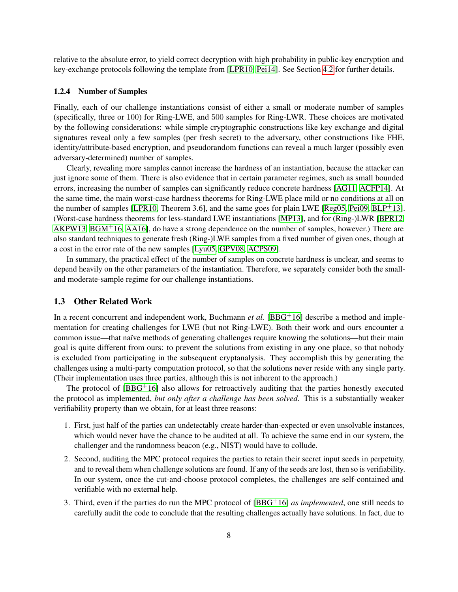relative to the absolute error, to yield correct decryption with high probability in public-key encryption and key-exchange protocols following the template from [\[LPR10,](#page-25-1) [Pei14\]](#page-26-9). See Section [4.2](#page-18-0) for further details.

### <span id="page-7-1"></span>1.2.4 Number of Samples

Finally, each of our challenge instantiations consist of either a small or moderate number of samples (specifically, three or 100) for Ring-LWE, and 500 samples for Ring-LWR. These choices are motivated by the following considerations: while simple cryptographic constructions like key exchange and digital signatures reveal only a few samples (per fresh secret) to the adversary, other constructions like FHE, identity/attribute-based encryption, and pseudorandom functions can reveal a much larger (possibly even adversary-determined) number of samples.

Clearly, revealing more samples cannot increase the hardness of an instantiation, because the attacker can just ignore some of them. There is also evidence that in certain parameter regimes, such as small bounded errors, increasing the number of samples can significantly reduce concrete hardness [\[AG11,](#page-22-4) [ACFP14\]](#page-21-0). At the same time, the main worst-case hardness theorems for Ring-LWE place mild or no conditions at all on the number of samples [\[LPR10,](#page-25-1) Theorem 3.6], and the same goes for plain LWE [\[Reg05,](#page-26-1) [Pei09,](#page-26-7) [BLP](#page-23-10)+13]. (Worst-case hardness theorems for less-standard LWE instantiations [\[MP13\]](#page-25-7), and for (Ring-)LWR [\[BPR12,](#page-23-3)  $AKPW13, BGM<sup>+</sup>16, AA16$  $AKPW13, BGM<sup>+</sup>16, AA16$  $AKPW13, BGM<sup>+</sup>16, AA16$  $AKPW13, BGM<sup>+</sup>16, AA16$ ], do have a strong dependence on the number of samples, however.) There are also standard techniques to generate fresh (Ring-)LWE samples from a fixed number of given ones, though at a cost in the error rate of the new samples [\[Lyu05,](#page-25-8) [GPV08,](#page-24-9) [ACPS09\]](#page-21-2).

In summary, the practical effect of the number of samples on concrete hardness is unclear, and seems to depend heavily on the other parameters of the instantiation. Therefore, we separately consider both the smalland moderate-sample regime for our challenge instantiations.

### <span id="page-7-0"></span>1.3 Other Related Work

In a recent concurrent and independent work, Buchmann *et al.* [\[BBG](#page-22-8)<sup>+</sup>16] describe a method and implementation for creating challenges for LWE (but not Ring-LWE). Both their work and ours encounter a common issue—that naïve methods of generating challenges require knowing the solutions—but their main goal is quite different from ours: to prevent the solutions from existing in any one place, so that nobody is excluded from participating in the subsequent cryptanalysis. They accomplish this by generating the challenges using a multi-party computation protocol, so that the solutions never reside with any single party. (Their implementation uses three parties, although this is not inherent to the approach.)

The protocol of  $[BBG^+16]$  $[BBG^+16]$  also allows for retroactively auditing that the parties honestly executed the protocol as implemented, *but only after a challenge has been solved*. This is a substantially weaker verifiability property than we obtain, for at least three reasons:

- 1. First, just half of the parties can undetectably create harder-than-expected or even unsolvable instances, which would never have the chance to be audited at all. To achieve the same end in our system, the challenger and the randomness beacon (e.g., NIST) would have to collude.
- 2. Second, auditing the MPC protocol requires the parties to retain their secret input seeds in perpetuity, and to reveal them when challenge solutions are found. If any of the seeds are lost, then so is verifiability. In our system, once the cut-and-choose protocol completes, the challenges are self-contained and verifiable with no external help.
- 3. Third, even if the parties do run the MPC protocol of [\[BBG](#page-22-8)+16] *as implemented*, one still needs to carefully audit the code to conclude that the resulting challenges actually have solutions. In fact, due to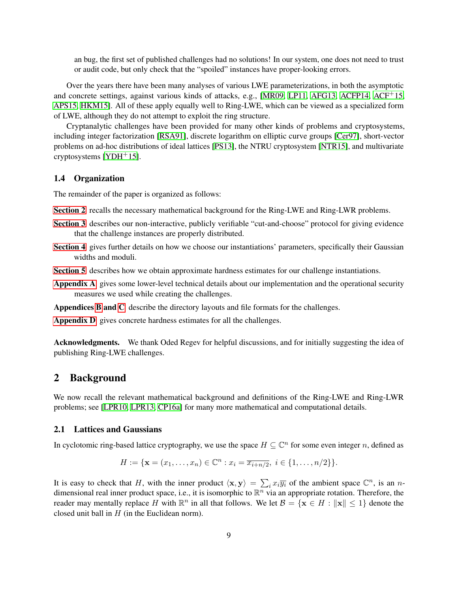an bug, the first set of published challenges had no solutions! In our system, one does not need to trust or audit code, but only check that the "spoiled" instances have proper-looking errors.

Over the years there have been many analyses of various LWE parameterizations, in both the asymptotic and concrete settings, against various kinds of attacks, e.g., [\[MR09,](#page-25-2) [LP11,](#page-25-4) [AFG13,](#page-22-9) [ACFP14,](#page-21-0) [ACF](#page-21-3)<sup>+</sup>15, [APS15,](#page-22-10) [HKM15\]](#page-24-3). All of these apply equally well to Ring-LWE, which can be viewed as a specialized form of LWE, although they do not attempt to exploit the ring structure.

Cryptanalytic challenges have been provided for many other kinds of problems and cryptosystems, including integer factorization [\[RSA91\]](#page-26-10), discrete logarithm on elliptic curve groups [\[Cer97\]](#page-23-11), short-vector problems on ad-hoc distributions of ideal lattices [\[PS13\]](#page-26-11), the NTRU cryptosystem [\[NTR15\]](#page-26-12), and multivariate cryptosystems [\[YDH](#page-26-13)+15].

### 1.4 Organization

The remainder of the paper is organized as follows:

- [Section 2](#page-8-0) recalls the necessary mathematical background for the Ring-LWE and Ring-LWR problems.
- [Section 3](#page-12-0) describes our non-interactive, publicly verifiable "cut-and-choose" protocol for giving evidence that the challenge instances are properly distributed.
- [Section 4](#page-17-1) gives further details on how we choose our instantiations' parameters, specifically their Gaussian widths and moduli.
- [Section 5](#page-19-0) describes how we obtain approximate hardness estimates for our challenge instantiations.
- [Appendix A](#page-27-0) gives some lower-level technical details about our implementation and the operational security measures we used while creating the challenges.

Appendices [B](#page-28-0) and [C](#page-29-0) describe the directory layouts and file formats for the challenges.

[Appendix D](#page-32-0) gives concrete hardness estimates for all the challenges.

Acknowledgments. We thank Oded Regev for helpful discussions, and for initially suggesting the idea of publishing Ring-LWE challenges.

## <span id="page-8-0"></span>2 Background

We now recall the relevant mathematical background and definitions of the Ring-LWE and Ring-LWR problems; see [\[LPR10,](#page-25-1) [LPR13,](#page-25-6) [CP16a\]](#page-23-2) for many more mathematical and computational details.

### <span id="page-8-1"></span>2.1 Lattices and Gaussians

In cyclotomic ring-based lattice cryptography, we use the space  $H \subseteq \mathbb{C}^n$  for some even integer n, defined as

$$
H := \{ \mathbf{x} = (x_1, \dots, x_n) \in \mathbb{C}^n : x_i = \overline{x_{i+n/2}}, \ i \in \{1, \dots, n/2\} \}.
$$

It is easy to check that H, with the inner product  $\langle x, y \rangle = \sum_i x_i \overline{y_i}$  of the ambient space  $\mathbb{C}^n$ , is an ndimensional real inner product space, i.e., it is isomorphic to  $\mathbb{R}^n$  via an appropriate rotation. Therefore, the reader may mentally replace H with  $\mathbb{R}^n$  in all that follows. We let  $\mathcal{B} = \{ \mathbf{x} \in H : ||\mathbf{x}|| \leq 1 \}$  denote the closed unit ball in  $H$  (in the Euclidean norm).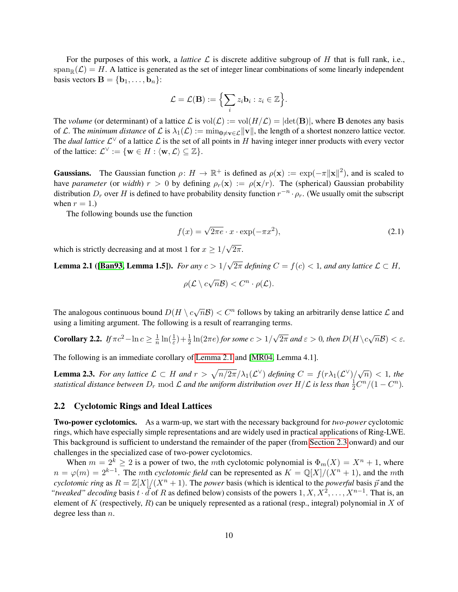For the purposes of this work, a *lattice*  $\mathcal L$  is discrete additive subgroup of  $H$  that is full rank, i.e.,  $\operatorname{span}_{\mathbb{R}}(\mathcal{L}) = H$ . A lattice is generated as the set of integer linear combinations of some linearly independent basis vectors  $\mathbf{B} = \{\mathbf{b}_1, \dots, \mathbf{b}_n\}$ :

$$
\mathcal{L} = \mathcal{L}(\mathbf{B}) := \Big\{ \sum_i z_i \mathbf{b}_i : z_i \in \mathbb{Z} \Big\}.
$$

The *volume* (or determinant) of a lattice  $\mathcal L$  is  $vol(\mathcal L) := vol(H/\mathcal L) = |det(\mathbf B)|$ , where **B** denotes any basis of L. The *minimum distance* of L is  $\lambda_1(\mathcal{L}) := \min_{0 \neq v \in \mathcal{L}} ||v||$ , the length of a shortest nonzero lattice vector. The *dual lattice*  $\mathcal{L}^{\vee}$  of a lattice  $\mathcal{L}$  is the set of all points in H having integer inner products with every vector of the lattice:  $\mathcal{L}^{\vee} := \{ \mathbf{w} \in H : \langle \mathbf{w}, \mathcal{L} \rangle \subseteq \mathbb{Z} \}.$ 

**Gaussians.** The Gaussian function  $\rho: H \to \mathbb{R}^+$  is defined as  $\rho(\mathbf{x}) := \exp(-\pi ||\mathbf{x}||^2)$ , and is scaled to have *parameter* (or *width*)  $r > 0$  by defining  $\rho_r(\mathbf{x}) := \rho(\mathbf{x}/r)$ . The (spherical) Gaussian probability distribution  $D_r$  over H is defined to have probability density function  $r^{-n} \cdot \rho_r$ . (We usually omit the subscript when  $r = 1$ .)

The following bounds use the function

<span id="page-9-3"></span>
$$
f(x) = \sqrt{2\pi e} \cdot x \cdot \exp(-\pi x^2),
$$
\n(2.1)

which is strictly decreasing and at most 1 for  $x \geq 1/2$ √  $2\pi$ .

<span id="page-9-1"></span>**Lemma 2.1 ([\[Ban93,](#page-22-11) Lemma 1.5]).** *For any*  $c > 1/$ √  $2\pi$  defining  $C = f(c) < 1$ , and any lattice  $\mathcal{L} \subset H$ ,

$$
\rho(\mathcal{L}\setminus c\sqrt{n}\mathcal{B}) < C^n \cdot \rho(\mathcal{L}).
$$

The analogous continuous bound  $D(H \setminus c\sqrt{n}\mathcal{B}) < C^n$  follows by taking an arbitrarily dense lattice  $\mathcal L$  and using a limiting argument. The following is a result of rearranging terms.

<span id="page-9-2"></span>**Corollary 2.2.** *If*  $\pi c^2 - \ln c \geq \frac{1}{n}$  $\frac{1}{n}\ln(\frac{1}{\varepsilon}) + \frac{1}{2}\ln(2\pi e)$  for some  $c > 1/2$ √  $\overline{2\pi}$  and  $\varepsilon > 0$ , then  $D(H \setminus c\sqrt{n}\mathcal{B}) < \varepsilon$ .

The following is an immediate corollary of [Lemma 2.1](#page-9-1) and [\[MR04,](#page-25-9) Lemma 4.1].

<span id="page-9-4"></span>**Lemma 2.3.** For any lattice  $\mathcal{L} \subset H$  and  $r > \sqrt{n/2\pi}/\lambda_1(\mathcal{L}^{\vee})$  defining  $C = f(r\lambda_1(\mathcal{L}^{\vee})/\sqrt{n}) < 1$ , the *statistical distance between*  $D_r$  mod  $\mathcal L$  *and the uniform distribution over*  $H/L$  *is less than*  $\frac{1}{2}C^n/(1-C^n)$ *.* 

### <span id="page-9-0"></span>2.2 Cyclotomic Rings and Ideal Lattices

Two-power cyclotomics. As a warm-up, we start with the necessary background for *two-power* cyclotomic rings, which have especially simple representations and are widely used in practical applications of Ring-LWE. This background is sufficient to understand the remainder of the paper (from [Section 2.3](#page-11-0) onward) and our challenges in the specialized case of two-power cyclotomics.

When  $m = 2^k \ge 2$  is a power of two, the *m*th cyclotomic polynomial is  $\Phi_m(X) = X^n + 1$ , where  $n = \varphi(m) = 2^{k-1}$ . The *mth cyclotomic field* can be represented as  $K = \mathbb{Q}[X]/(X^n + 1)$ , and the *mth cyclotomic ring* as  $R = \mathbb{Z}[X]/(X^n + 1)$ . The *power* basis (which is identical to the *powerful* basis  $\vec{p}$  and the *"tweaked" decoding basis*  $t \cdot d$  of R as defined below) consists of the powers  $1, X, X^2, \ldots, X^{n-1}$ . That is, an element of K (respectively, R) can be uniquely represented as a rational (resp., integral) polynomial in X of degree less than  $n$ .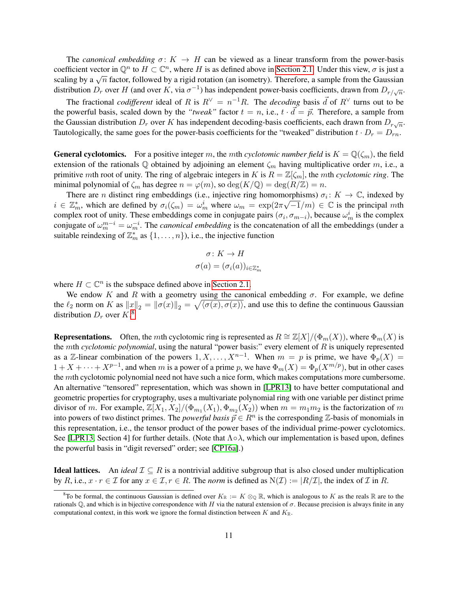The *canonical embedding*  $\sigma: K \to H$  can be viewed as a linear transform from the power-basis coefficient vector in  $\mathbb{Q}^n$  to  $H \subset \mathbb{C}^n$ , where H is as defined above in [Section 2.1.](#page-8-1) Under this view,  $\sigma$  is just a scaling by a  $\sqrt{n}$  factor, followed by a rigid rotation (an isometry). Therefore, a sample from the Gaussian distribution  $D_r$  over H (and over K, via  $\sigma^{-1}$ ) has independent power-basis coefficients, drawn from  $D_{r/\sqrt{n}}$ .

The fractional *codifferent* ideal of R is  $R^{\vee} = n^{-1}R$ . The *decoding* basis  $\vec{d}$  of  $R^{\vee}$  turns out to be the powerful basis, scaled down by the *"tweak"* factor  $t = n$ , i.e.,  $t \cdot \vec{d} = \vec{p}$ . Therefore, a sample from the Gaussian distribution  $D_r$  over K has independent decoding-basis coefficients, each drawn from  $D_{r\sqrt{n}}$ . Tautologically, the same goes for the power-basis coefficients for the "tweaked" distribution  $t \cdot D_r = D_{rn}$ .

**General cyclotomics.** For a positive integer m, the mth *cyclotomic number field* is  $K = \mathbb{Q}(\zeta_m)$ , the field extension of the rationals  $\mathbb Q$  obtained by adjoining an element  $\zeta_m$  having multiplicative order m, i.e., a primitive mth root of unity. The ring of algebraic integers in  $K$  is  $R = \mathbb{Z}[\zeta_m]$ , the mth *cyclotomic ring*. The minimal polynomial of  $\zeta_m$  has degree  $n = \varphi(m)$ , so  $\deg(K/\mathbb{Q}) = \deg(R/\mathbb{Z}) = n$ .

There are *n* distinct ring embeddings (i.e., injective ring homomorphisms)  $\sigma_i : K \to \mathbb{C}$ , indexed by  $i \in \mathbb{Z}_m^*$ , which are defined by  $\sigma_i(\zeta_m) = \omega_m^i$  where  $\omega_m = \exp(2\pi\sqrt{-1}/m) \in \mathbb{C}$  is the principal mth complex root of unity. These embeddings come in conjugate pairs  $(\sigma_i, \sigma_{m-i})$ , because  $\omega_m^i$  is the complex conjugate of  $\omega_m^{m-i} = \omega_m^{-i}$ . The *canonical embedding* is the concatenation of all the embeddings (under a suitable reindexing of  $\mathbb{Z}_m^*$  as  $\{1, \ldots, n\}$ ), i.e., the injective function

$$
\sigma: K \to H
$$

$$
\sigma(a) = (\sigma_i(a))_{i \in \mathbb{Z}_m^*}
$$

where  $H \subset \mathbb{C}^n$  is the subspace defined above in [Section 2.1.](#page-8-1)

We endow K and R with a geometry using the canonical embedding  $\sigma$ . For example, we define the  $\ell_2$  norm on K as  $||x||_2 = ||\sigma(x)||_2 = \sqrt{\langle \sigma(x), \sigma(x) \rangle}$ , and use this to define the continuous Gaussian distribution  $D_r$  over  $K^8$  $K^8$ .

**Representations.** Often, the mth cyclotomic ring is represented as  $R \cong \mathbb{Z}[X]/(\Phi_m(X))$ , where  $\Phi_m(X)$  is the  $m$ th *cyclotomic polynomial*, using the natural "power basis:" every element of  $R$  is uniquely represented as a Z-linear combination of the powers  $1, X, \ldots, X^{n-1}$ . When  $m = p$  is prime, we have  $\Phi_p(X) =$  $1 + X + \cdots + X^{p-1}$ , and when m is a power of a prime p, we have  $\Phi_m(X) = \Phi_p(X^{m/p})$ , but in other cases the *mth* cyclotomic polynomial need not have such a nice form, which makes computations more cumbersome. An alternative "tensored" representation, which was shown in [\[LPR13\]](#page-25-6) to have better computational and geometric properties for cryptography, uses a multivariate polynomial ring with one variable per distinct prime divisor of m. For example,  $\mathbb{Z}[X_1, X_2]/(\Phi_{m_1}(X_1), \Phi_{m_2}(X_2))$  when  $m = m_1 m_2$  is the factorization of m into powers of two distinct primes. The *powerful basis*  $\vec{p} \in R^n$  is the corresponding  $\mathbb{Z}$ -basis of monomials in this representation, i.e., the tensor product of the power bases of the individual prime-power cyclotomics. See [\[LPR13,](#page-25-6) Section 4] for further details. (Note that  $\Lambda \circ \lambda$ , which our implementation is based upon, defines the powerful basis in "digit reversed" order; see [\[CP16a\]](#page-23-2).)

**Ideal lattices.** An *ideal*  $\mathcal{I} \subseteq R$  is a nontrivial additive subgroup that is also closed under multiplication by R, i.e.,  $x \cdot r \in \mathcal{I}$  for any  $x \in \mathcal{I}$ ,  $r \in R$ . The *norm* is defined as  $N(\mathcal{I}) := |R/\mathcal{I}|$ , the index of  $\mathcal{I}$  in R.

<span id="page-10-0"></span><sup>&</sup>lt;sup>8</sup>To be formal, the continuous Gaussian is defined over  $K_{\mathbb{R}} := K \otimes_{\mathbb{Q}} \mathbb{R}$ , which is analogous to K as the reals  $\mathbb{R}$  are to the rationals  $\mathbb Q$ , and which is in bijective correspondence with H via the natural extension of  $\sigma$ . Because precision is always finite in any computational context, in this work we ignore the formal distinction between  $K$  and  $K_{\mathbb{R}}$ .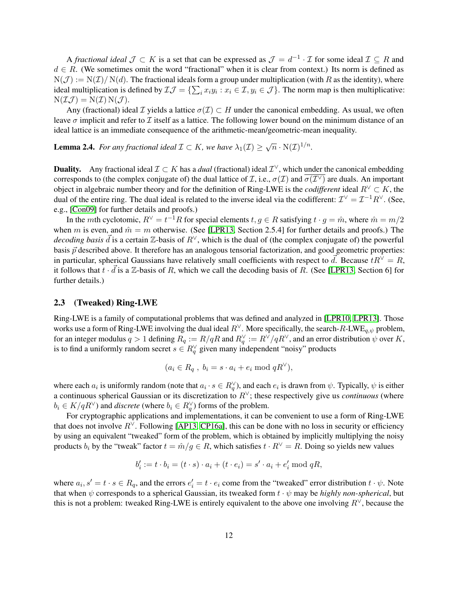A *fractional ideal*  $\mathcal{J} \subset K$  is a set that can be expressed as  $\mathcal{J} = d^{-1} \cdot \mathcal{I}$  for some ideal  $\mathcal{I} \subseteq R$  and  $d \in R$ . (We sometimes omit the word "fractional" when it is clear from context.) Its norm is defined as  $N(\mathcal{J}) := N(\mathcal{I})/N(d)$ . The fractional ideals form a group under multiplication (with R as the identity), where ideal multiplication is defined by  $\mathcal{I}\mathcal{J} = \{\sum_i x_i y_i : x_i \in \mathcal{I}, y_i \in \mathcal{J}\}\.$  The norm map is then multiplicative:  $N(\mathcal{I}\mathcal{J}) = N(\mathcal{I}) N(\mathcal{J}).$ 

Any (fractional) ideal *I* yields a lattice  $\sigma(\mathcal{I}) \subset H$  under the canonical embedding. As usual, we often leave  $\sigma$  implicit and refer to  $\mathcal I$  itself as a lattice. The following lower bound on the minimum distance of an ideal lattice is an immediate consequence of the arithmetic-mean/geometric-mean inequality.

<span id="page-11-1"></span>**Lemma 2.4.** For any fractional ideal  $\mathcal{I} \subset K$ , we have  $\lambda_1(\mathcal{I}) \geq \sqrt{n} \cdot N(\mathcal{I})^{1/n}$ .

**Duality.** Any fractional ideal  $\mathcal{I} \subset K$  has a *dual* (fractional) ideal  $\mathcal{I}^{\vee}$ , which under the canonical embedding corresponds to (the complex conjugate of) the dual lattice of *T*, i.e.,  $\sigma(T)$  and  $\overline{\sigma(T)}$  are duals. An important object in algebraic number theory and for the definition of Ring-LWE is the *codifferent* ideal  $R^{\vee} \subset K$ , the dual of the entire ring. The dual ideal is related to the inverse ideal via the codifferent:  $\mathcal{I}^{\vee} = \mathcal{I}^{-1}R^{\vee}$ . (See, e.g., [\[Con09\]](#page-23-12) for further details and proofs.)

In the mth cyclotomic,  $R^{\vee} = t^{-1}R$  for special elements  $t, g \in R$  satisfying  $t \cdot g = \hat{m}$ , where  $\hat{m} = m/2$ when m is even, and  $\hat{m} = m$  otherwise. (See [\[LPR13,](#page-25-6) Section 2.5.4] for further details and proofs.) The *decoding basis*  $\vec{d}$  is a certain  $\mathbb{Z}$ -basis of  $R^{\vee}$ , which is the dual of (the complex conjugate of) the powerful basis  $\vec{p}$  described above. It therefore has an analogous tensorial factorization, and good geometric properties: in particular, spherical Gaussians have relatively small coefficients with respect to  $\vec{d}$ . Because  $tR^{\vee} = R$ , it follows that  $\overline{t} \cdot \overline{d}$  is a Z-basis of R, which we call the decoding basis of R. (See [\[LPR13,](#page-25-6) Section 6] for further details.)

#### <span id="page-11-0"></span>2.3 (Tweaked) Ring-LWE

Ring-LWE is a family of computational problems that was defined and analyzed in [\[LPR10,](#page-25-1) [LPR13\]](#page-25-6). Those works use a form of Ring-LWE involving the dual ideal  $R^{\vee}$ . More specifically, the search- $R$ -LWE<sub> $q,\psi$ </sub> problem, for an integer modulus  $q > 1$  defining  $R_q := R/qR$  and  $R_q^{\vee} := R^{\vee}/qR^{\vee}$ , and an error distribution  $\psi$  over K, is to find a uniformly random secret  $s \in R_q^{\vee}$  given many independent "noisy" products

$$
(a_i \in R_q , b_i = s \cdot a_i + e_i \bmod qR^{\vee}),
$$

where each  $a_i$  is uniformly random (note that  $a_i \cdot s \in R_q^{\vee}$ ), and each  $e_i$  is drawn from  $\psi$ . Typically,  $\psi$  is either a continuous spherical Gaussian or its discretization to  $R^{\vee}$ ; these respectively give us *continuous* (where  $b_i \in K/qR^{\vee}$  and *discrete* (where  $b_i \in R_q^{\vee}$ ) forms of the problem.

For cryptographic applications and implementations, it can be convenient to use a form of Ring-LWE that does not involve  $R^{\vee}$ . Following [\[AP13,](#page-22-5) [CP16a\]](#page-23-2), this can be done with no loss in security or efficiency by using an equivalent "tweaked" form of the problem, which is obtained by implicitly multiplying the noisy products  $b_i$  by the "tweak" factor  $t = \hat{m}/g \in R$ , which satisfies  $t \cdot R^{\vee} = R$ . Doing so yields new values

$$
b'_i := t \cdot b_i = (t \cdot s) \cdot a_i + (t \cdot e_i) = s' \cdot a_i + e'_i \bmod qR,
$$

where  $a_i$ ,  $s' = t \cdot s \in R_q$ , and the errors  $e'_i = t \cdot e_i$  come from the "tweaked" error distribution  $t \cdot \psi$ . Note that when  $\psi$  corresponds to a spherical Gaussian, its tweaked form  $t \cdot \psi$  may be *highly non-spherical*, but this is not a problem: tweaked Ring-LWE is entirely equivalent to the above one involving  $R^{\vee}$ , because the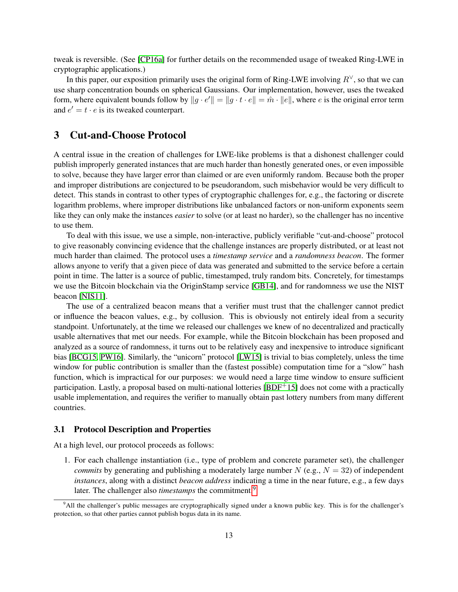tweak is reversible. (See [\[CP16a\]](#page-23-2) for further details on the recommended usage of tweaked Ring-LWE in cryptographic applications.)

In this paper, our exposition primarily uses the original form of Ring-LWE involving  $R^{\vee}$ , so that we can use sharp concentration bounds on spherical Gaussians. Our implementation, however, uses the tweaked form, where equivalent bounds follow by  $||g \cdot e'|| = ||g \cdot t \cdot e|| = \hat{m} \cdot ||e||$ , where e is the original error term and  $e' = t \cdot e$  is its tweaked counterpart.

## <span id="page-12-0"></span>3 Cut-and-Choose Protocol

A central issue in the creation of challenges for LWE-like problems is that a dishonest challenger could publish improperly generated instances that are much harder than honestly generated ones, or even impossible to solve, because they have larger error than claimed or are even uniformly random. Because both the proper and improper distributions are conjectured to be pseudorandom, such misbehavior would be very difficult to detect. This stands in contrast to other types of cryptographic challenges for, e.g., the factoring or discrete logarithm problems, where improper distributions like unbalanced factors or non-uniform exponents seem like they can only make the instances *easier* to solve (or at least no harder), so the challenger has no incentive to use them.

To deal with this issue, we use a simple, non-interactive, publicly verifiable "cut-and-choose" protocol to give reasonably convincing evidence that the challenge instances are properly distributed, or at least not much harder than claimed. The protocol uses a *timestamp service* and a *randomness beacon*. The former allows anyone to verify that a given piece of data was generated and submitted to the service before a certain point in time. The latter is a source of public, timestamped, truly random bits. Concretely, for timestamps we use the Bitcoin blockchain via the OriginStamp service [\[GB14\]](#page-24-10), and for randomness we use the NIST beacon [\[NIS11\]](#page-26-5).

The use of a centralized beacon means that a verifier must trust that the challenger cannot predict or influence the beacon values, e.g., by collusion. This is obviously not entirely ideal from a security standpoint. Unfortunately, at the time we released our challenges we knew of no decentralized and practically usable alternatives that met our needs. For example, while the Bitcoin blockchain has been proposed and analyzed as a source of randomness, it turns out to be relatively easy and inexpensive to introduce significant bias [\[BCG15,](#page-22-12) [PW16\]](#page-26-14). Similarly, the "unicorn" protocol [\[LW15\]](#page-25-10) is trivial to bias completely, unless the time window for public contribution is smaller than the (fastest possible) computation time for a "slow" hash function, which is impractical for our purposes: we would need a large time window to ensure sufficient participation. Lastly, a proposal based on multi-national lotteries [\[BDF](#page-22-13)+15] does not come with a practically usable implementation, and requires the verifier to manually obtain past lottery numbers from many different countries.

### 3.1 Protocol Description and Properties

<span id="page-12-2"></span>At a high level, our protocol proceeds as follows:

1. For each challenge instantiation (i.e., type of problem and concrete parameter set), the challenger *commits* by generating and publishing a moderately large number  $N$  (e.g.,  $N = 32$ ) of independent *instances*, along with a distinct *beacon address* indicating a time in the near future, e.g., a few days later. The challenger also *timestamps* the commitment.<sup>[9](#page-12-1)</sup>

<span id="page-12-1"></span><sup>&</sup>lt;sup>9</sup>All the challenger's public messages are cryptographically signed under a known public key. This is for the challenger's protection, so that other parties cannot publish bogus data in its name.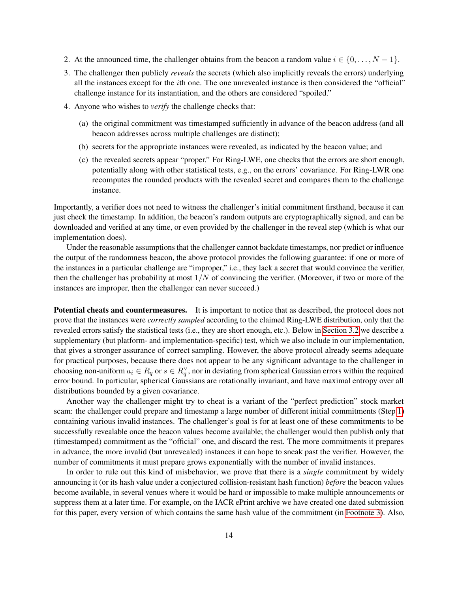- 2. At the announced time, the challenger obtains from the beacon a random value  $i \in \{0, \ldots, N-1\}$ .
- <span id="page-13-0"></span>3. The challenger then publicly *reveals* the secrets (which also implicitly reveals the errors) underlying all the instances except for the  $i$ th one. The one unrevealed instance is then considered the "official" challenge instance for its instantiation, and the others are considered "spoiled."
- 4. Anyone who wishes to *verify* the challenge checks that:
	- (a) the original commitment was timestamped sufficiently in advance of the beacon address (and all beacon addresses across multiple challenges are distinct);
	- (b) secrets for the appropriate instances were revealed, as indicated by the beacon value; and
	- (c) the revealed secrets appear "proper." For Ring-LWE, one checks that the errors are short enough, potentially along with other statistical tests, e.g., on the errors' covariance. For Ring-LWR one recomputes the rounded products with the revealed secret and compares them to the challenge instance.

Importantly, a verifier does not need to witness the challenger's initial commitment firsthand, because it can just check the timestamp. In addition, the beacon's random outputs are cryptographically signed, and can be downloaded and verified at any time, or even provided by the challenger in the reveal step (which is what our implementation does).

Under the reasonable assumptions that the challenger cannot backdate timestamps, nor predict or influence the output of the randomness beacon, the above protocol provides the following guarantee: if one or more of the instances in a particular challenge are "improper," i.e., they lack a secret that would convince the verifier, then the challenger has probability at most  $1/N$  of convincing the verifier. (Moreover, if two or more of the instances are improper, then the challenger can never succeed.)

Potential cheats and countermeasures. It is important to notice that as described, the protocol does not prove that the instances were *correctly sampled* according to the claimed Ring-LWE distribution, only that the revealed errors satisfy the statistical tests (i.e., they are short enough, etc.). Below in [Section 3.2](#page-14-0) we describe a supplementary (but platform- and implementation-specific) test, which we also include in our implementation, that gives a stronger assurance of correct sampling. However, the above protocol already seems adequate for practical purposes, because there does not appear to be any significant advantage to the challenger in choosing non-uniform  $a_i \in R_q$  or  $s \in R_q^{\vee}$ , nor in deviating from spherical Gaussian errors within the required error bound. In particular, spherical Gaussians are rotationally invariant, and have maximal entropy over all distributions bounded by a given covariance.

Another way the challenger might try to cheat is a variant of the "perfect prediction" stock market scam: the challenger could prepare and timestamp a large number of different initial commitments (Step [1\)](#page-12-2) containing various invalid instances. The challenger's goal is for at least one of these commitments to be successfully revealable once the beacon values become available; the challenger would then publish only that (timestamped) commitment as the "official" one, and discard the rest. The more commitments it prepares in advance, the more invalid (but unrevealed) instances it can hope to sneak past the verifier. However, the number of commitments it must prepare grows exponentially with the number of invalid instances.

In order to rule out this kind of misbehavior, we prove that there is a *single* commitment by widely announcing it (or its hash value under a conjectured collision-resistant hash function) *before* the beacon values become available, in several venues where it would be hard or impossible to make multiple announcements or suppress them at a later time. For example, on the IACR ePrint archive we have created one dated submission for this paper, every version of which contains the same hash value of the commitment (in [Footnote 3\)](#page-2-1). Also,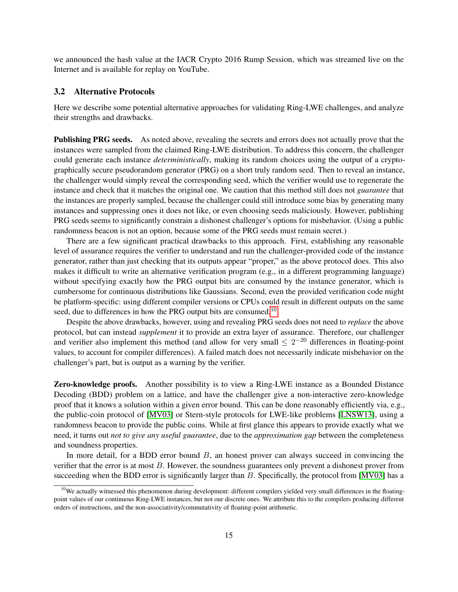we announced the hash value at the IACR Crypto 2016 Rump Session, which was streamed live on the Internet and is available for replay on YouTube.

### <span id="page-14-0"></span>3.2 Alternative Protocols

Here we describe some potential alternative approaches for validating Ring-LWE challenges, and analyze their strengths and drawbacks.

Publishing PRG seeds. As noted above, revealing the secrets and errors does not actually prove that the instances were sampled from the claimed Ring-LWE distribution. To address this concern, the challenger could generate each instance *deterministically*, making its random choices using the output of a cryptographically secure pseudorandom generator (PRG) on a short truly random seed. Then to reveal an instance, the challenger would simply reveal the corresponding seed, which the verifier would use to regenerate the instance and check that it matches the original one. We caution that this method still does not *guarantee* that the instances are properly sampled, because the challenger could still introduce some bias by generating many instances and suppressing ones it does not like, or even choosing seeds maliciously. However, publishing PRG seeds seems to significantly constrain a dishonest challenger's options for misbehavior. (Using a public randomness beacon is not an option, because some of the PRG seeds must remain secret.)

There are a few significant practical drawbacks to this approach. First, establishing any reasonable level of assurance requires the verifier to understand and run the challenger-provided code of the instance generator, rather than just checking that its outputs appear "proper," as the above protocol does. This also makes it difficult to write an alternative verification program (e.g., in a different programming language) without specifying exactly how the PRG output bits are consumed by the instance generator, which is cumbersome for continuous distributions like Gaussians. Second, even the provided verification code might be platform-specific: using different compiler versions or CPUs could result in different outputs on the same seed, due to differences in how the PRG output bits are consumed.<sup>[10](#page-14-1)</sup>

Despite the above drawbacks, however, using and revealing PRG seeds does not need to *replace* the above protocol, but can instead *supplement* it to provide an extra layer of assurance. Therefore, our challenger and verifier also implement this method (and allow for very small  $\leq 2^{-20}$  differences in floating-point values, to account for compiler differences). A failed match does not necessarily indicate misbehavior on the challenger's part, but is output as a warning by the verifier.

**Zero-knowledge proofs.** Another possibility is to view a Ring-LWE instance as a Bounded Distance Decoding (BDD) problem on a lattice, and have the challenger give a non-interactive zero-knowledge proof that it knows a solution within a given error bound. This can be done reasonably efficiently via, e.g., the public-coin protocol of [\[MV03\]](#page-25-11) or Stern-style protocols for LWE-like problems [\[LNSW13\]](#page-25-12), using a randomness beacon to provide the public coins. While at first glance this appears to provide exactly what we need, it turns out *not to give any useful guarantee*, due to the *approximation gap* between the completeness and soundness properties.

In more detail, for a BDD error bound  $B$ , an honest prover can always succeed in convincing the verifier that the error is at most  $B$ . However, the soundness guarantees only prevent a dishonest prover from succeeding when the BDD error is significantly larger than  $B$ . Specifically, the protocol from [\[MV03\]](#page-25-11) has a

<span id="page-14-1"></span> $10$ We actually witnessed this phenomenon during development: different compilers yielded very small differences in the floatingpoint values of our continuous Ring-LWE instances, but not our discrete ones. We attribute this to the compilers producing different orders of instructions, and the non-associativity/commutativity of floating-point arithmetic.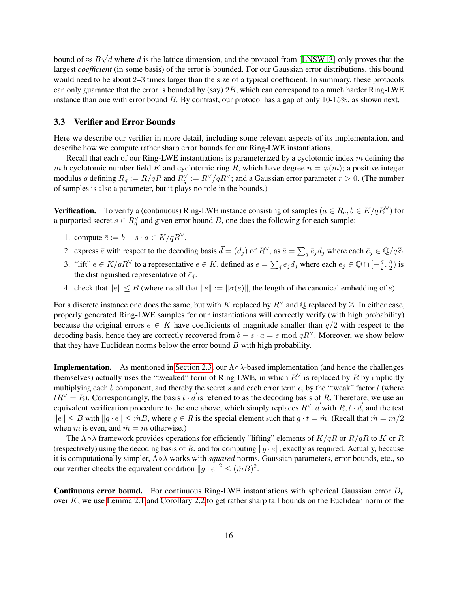bound of  $\approx$   $B$ √  $d$  where  $d$  is the lattice dimension, and the protocol from [\[LNSW13\]](#page-25-12) only proves that the largest *coefficient* (in some basis) of the error is bounded. For our Gaussian error distributions, this bound would need to be about 2–3 times larger than the size of a typical coefficient. In summary, these protocols can only guarantee that the error is bounded by (say)  $2B$ , which can correspond to a much harder Ring-LWE instance than one with error bound  $B$ . By contrast, our protocol has a gap of only 10-15%, as shown next.

#### 3.3 Verifier and Error Bounds

Here we describe our verifier in more detail, including some relevant aspects of its implementation, and describe how we compute rather sharp error bounds for our Ring-LWE instantiations.

Recall that each of our Ring-LWE instantiations is parameterized by a cyclotomic index  $m$  defining the mth cyclotomic number field K and cyclotomic ring R, which have degree  $n = \varphi(m)$ ; a positive integer modulus q defining  $R_q := R/qR$  and  $R_q^{\vee} := R^{\vee}/qR^{\vee}$ ; and a Gaussian error parameter  $r > 0$ . (The number of samples is also a parameter, but it plays no role in the bounds.)

**Verification.** To verify a (continuous) Ring-LWE instance consisting of samples  $(a \in R_q, b \in K/qR^{\vee})$  for a purported secret  $s \in R_q^{\vee}$  and given error bound B, one does the following for each sample:

- 1. compute  $\overline{e} := b s \cdot a \in K/qR^{\vee}$ ,
- 2. express  $\bar{e}$  with respect to the decoding basis  $\vec{d} = (d_j)$  of  $R^{\vee}$ , as  $\bar{e} = \sum_j \bar{e}_j d_j$  where each  $\bar{e}_j \in \mathbb{Q}/q\mathbb{Z}$ .
- 3. "lift"  $\bar{e} \in K/qR^{\vee}$  to a representative  $e \in K$ , defined as  $e = \sum_{j} e_j d_j$  where each  $e_j \in \mathbb{Q} \cap [-\frac{q}{2}]$  $\frac{q}{2}, \frac{q}{2}$  $\frac{q}{2}$ ) is the distinguished representative of  $\bar{e}_j$ .
- 4. check that  $||e|| \leq B$  (where recall that  $||e|| := ||\sigma(e)||$ , the length of the canonical embedding of e).

For a discrete instance one does the same, but with K replaced by  $R^{\vee}$  and Q replaced by Z. In either case, properly generated Ring-LWE samples for our instantiations will correctly verify (with high probability) because the original errors  $e \in K$  have coefficients of magnitude smaller than  $q/2$  with respect to the decoding basis, hence they are correctly recovered from  $b - s \cdot a = e \mod qR^{\vee}$ . Moreover, we show below that they have Euclidean norms below the error bound  $B$  with high probability.

**Implementation.** As mentioned in [Section 2.3,](#page-11-0) our  $\Lambda \circ \lambda$ -based implementation (and hence the challenges themselves) actually uses the "tweaked" form of Ring-LWE, in which  $R^{\vee}$  is replaced by R by implicitly multiplying each *b* component, and thereby the secret *s* and each error term  $e$ , by the "tweak" factor  $t$  (where  $tR^{\vee} = R$ ). Correspondingly, the basis  $t \cdot \vec{d}$  is referred to as the decoding basis of R. Therefore, we use an equivalent verification procedure to the one above, which simply replaces  $R^{\vee}$ ,  $\vec{d}$  with  $R$ ,  $t \cdot \vec{d}$ , and the test  $||e|| \leq B$  with  $||g \cdot e|| \leq \hat{m}B$ , where  $g \in R$  is the special element such that  $g \cdot t = \hat{m}$ . (Recall that  $\hat{m} = m/2$ when m is even, and  $\hat{m} = m$  otherwise.)

The  $\Lambda \circ \lambda$  framework provides operations for efficiently "lifting" elements of  $K/qR$  or  $R/qR$  to K or R (respectively) using the decoding basis of R, and for computing  $||q \cdot e||$ , exactly as required. Actually, because it is computationally simpler, Λ∘ works with *squared* norms, Gaussian parameters, error bounds, etc., so our verifier checks the equivalent condition  $||g \cdot e||^2 \leq (\hat{m}B)^2$ .

**Continuous error bound.** For continuous Ring-LWE instantiations with spherical Gaussian error  $D<sub>r</sub>$ over  $K$ , we use [Lemma 2.1](#page-9-1) and [Corollary 2.2](#page-9-2) to get rather sharp tail bounds on the Euclidean norm of the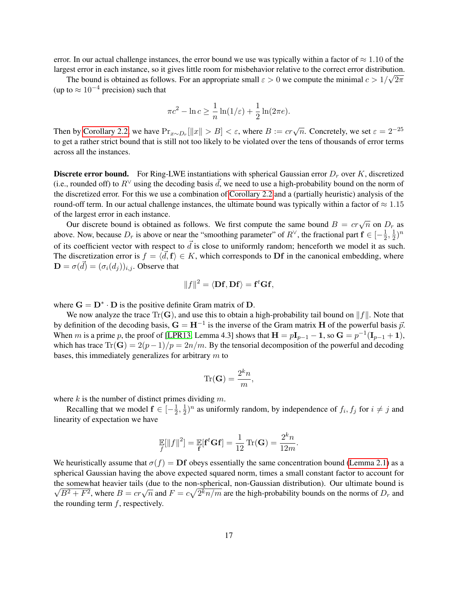error. In our actual challenge instances, the error bound we use was typically within a factor of  $\approx 1.10$  of the largest error in each instance, so it gives little room for misbehavior relative to the correct error distribution.

The bound is obtained as follows. For an appropriate small  $\varepsilon > 0$  we compute the minimal  $c > 1/\sqrt{2\pi}$ (up to  $\approx 10^{-4}$  precision) such that

$$
\pi c^2 - \ln c \ge \frac{1}{n} \ln(1/\varepsilon) + \frac{1}{2} \ln(2\pi e).
$$

Then by [Corollary 2.2,](#page-9-2) we have  $Pr_{x \sim D_r}[\|x\| > B] < \varepsilon$ , where  $B := cr\sqrt{n}$ . Concretely, we set  $\varepsilon = 2^{-25}$ to get a rather strict bound that is still not too likely to be violated over the tens of thousands of error terms across all the instances.

**Discrete error bound.** For Ring-LWE instantiations with spherical Gaussian error  $D<sub>r</sub>$  over K, discretized (i.e., rounded off) to  $R^{\vee}$  using the decoding basis  $\vec{d}$ , we need to use a high-probability bound on the norm of the discretized error. For this we use a combination of [Corollary 2.2](#page-9-2) and a (partially heuristic) analysis of the round-off term. In our actual challenge instances, the ultimate bound was typically within a factor of  $\approx 1.15$ of the largest error in each instance.

Our discrete bound is obtained as follows. We first compute the same bound  $B = cr\sqrt{n}$  on  $D_r$  as above. Now, because  $D_r$  is above or near the "smoothing parameter" of  $R^{\vee}$ , the fractional part  $\mathbf{f} \in [-\frac{1}{2}]$  $\frac{1}{2}, \frac{1}{2}$  $(\frac{1}{2})^n$ of its coefficient vector with respect to  $\vec{d}$  is close to uniformly random; henceforth we model it as such. The discretization error is  $f = \langle \vec{d}, \mathbf{f} \rangle \in K$ , which corresponds to Df in the canonical embedding, where  $\mathbf{D} = \sigma(\vec{d}) = (\sigma_i(d_j))_{i,j}$ . Observe that

$$
||f||^2 = \langle \mathbf{Df}, \mathbf{Df} \rangle = \mathbf{f}^t \mathbf{Gf},
$$

where  $G = D^* \cdot D$  is the positive definite Gram matrix of D.

We now analyze the trace  $\text{Tr}(\mathbf{G})$ , and use this to obtain a high-probability tail bound on  $||f||$ . Note that by definition of the decoding basis,  $G = H^{-1}$  is the inverse of the Gram matrix H of the powerful basis  $\vec{p}$ . When m is a prime p, the proof of [\[LPR13,](#page-25-6) Lemma 4.3] shows that  $H = pI_{p-1} - 1$ , so  $G = p^{-1}(I_{p-1} + 1)$ , which has trace  $Tr(G) = 2(p-1)/p = 2n/m$ . By the tensorial decomposition of the powerful and decoding bases, this immediately generalizes for arbitrary  $m$  to

$$
\text{Tr}(\mathbf{G}) = \frac{2^k n}{m},
$$

where  $k$  is the number of distinct primes dividing  $m$ .

Recalling that we model  $f \in \left[-\frac{1}{2}\right]$  $\frac{1}{2}, \frac{1}{2}$  $\frac{1}{2}$ )<sup>n</sup> as uniformly random, by independence of  $f_i, f_j$  for  $i \neq j$  and linearity of expectation we have

$$
\mathbb{E}[\|f\|^2] = \mathbb{E}[\mathbf{f}^t \mathbf{G} \mathbf{f}] = \frac{1}{12} \operatorname{Tr}(\mathbf{G}) = \frac{2^k n}{12m}.
$$

We heuristically assume that  $\sigma(f) = \mathbf{D}f$  obeys essentially the same concentration bound [\(Lemma 2.1\)](#page-9-1) as a spherical Gaussian having the above expected squared norm, times a small constant factor to account for the somewhat heavier tails (due to the non-spherical, non-Gaussian distribution). Our ultimate bound is  $\overline{B^2 + F^2}$ , where  $B = cr\sqrt{n}$  and  $F = c\sqrt{2^k n/m}$  are the high-probability bounds on the norms of  $D_r$  and the rounding term  $f$ , respectively.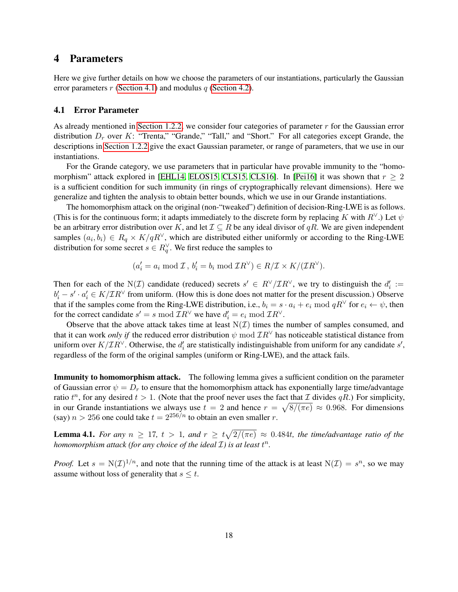## <span id="page-17-1"></span>4 Parameters

Here we give further details on how we choose the parameters of our instantiations, particularly the Gaussian error parameters  $r$  [\(Section 4.1\)](#page-17-0) and modulus  $q$  [\(Section 4.2\)](#page-18-0).

#### <span id="page-17-0"></span>4.1 Error Parameter

As already mentioned in [Section 1.2.2,](#page-4-1) we consider four categories of parameter  $r$  for the Gaussian error distribution  $D_r$  over K: "Trenta," "Grande," "Tall," and "Short." For all categories except Grande, the descriptions in [Section 1.2.2](#page-4-1) give the exact Gaussian parameter, or range of parameters, that we use in our instantiations.

For the Grande category, we use parameters that in particular have provable immunity to the "homo-morphism" attack explored in [\[EHL14,](#page-24-7) [ELOS15,](#page-24-8) [CLS15,](#page-23-6) [CLS16\]](#page-23-8). In [\[Pei16\]](#page-26-3) it was shown that  $r \geq 2$ is a sufficient condition for such immunity (in rings of cryptographically relevant dimensions). Here we generalize and tighten the analysis to obtain better bounds, which we use in our Grande instantiations.

The homomorphism attack on the original (non-"tweaked") definition of decision-Ring-LWE is as follows. (This is for the continuous form; it adapts immediately to the discrete form by replacing K with  $R^{\vee}$ .) Let  $\psi$ be an arbitrary error distribution over K, and let  $\mathcal{I} \subseteq R$  be any ideal divisor of qR. We are given independent samples  $(a_i, b_i) \in R_q \times K/qR^{\vee}$ , which are distributed either uniformly or according to the Ring-LWE distribution for some secret  $s \in R_q^{\vee}$ . We first reduce the samples to

$$
(a'_i = a_i \bmod \mathcal{I}, b'_i = b_i \bmod \mathcal{I}R^{\vee}) \in R/\mathcal{I} \times K/(\mathcal{I}R^{\vee}).
$$

Then for each of the N(*I*) candidate (reduced) secrets  $s' \in R^{\vee}/IR^{\vee}$ , we try to distinguish the  $d'_i :=$  $b'_i - s' \cdot a'_i \in K/\mathcal{I}R^{\vee}$  from uniform. (How this is done does not matter for the present discussion.) Observe that if the samples come from the Ring-LWE distribution, i.e.,  $b_i = s \cdot a_i + e_i \mod qR^\vee$  for  $e_i \leftarrow \psi$ , then for the correct candidate  $s' = s \mod \mathcal{I}R^{\vee}$  we have  $d'_i = e_i \mod \mathcal{I}R^{\vee}$ .

Observe that the above attack takes time at least  $N(\mathcal{I})$  times the number of samples consumed, and that it can work *only if* the reduced error distribution  $\psi$  mod  $\mathcal{I}R^{\vee}$  has noticeable statistical distance from uniform over  $K/\mathcal{I}R^{\vee}$ . Otherwise, the  $d'_{i}$  are statistically indistinguishable from uniform for any candidate  $s'$ , regardless of the form of the original samples (uniform or Ring-LWE), and the attack fails.

Immunity to homomorphism attack. The following lemma gives a sufficient condition on the parameter of Gaussian error  $\psi = D_r$  to ensure that the homomorphism attack has exponentially large time/advantage ratio  $t^n$ , for any desired  $t > 1$ . (Note that the proof never uses the fact that  $\mathcal I$  divides  $qR$ .) For simplicity, in our Grande instantiations we always use  $t = 2$  and hence  $r = \sqrt{8/(\pi e)} \approx 0.968$ . For dimensions (say)  $n > 256$  one could take  $t = 2^{256/n}$  to obtain an even smaller r.

**Lemma 4.1.** For any  $n \geq 17$ ,  $t > 1$ , and  $r \geq t\sqrt{2/(\pi e)} \approx 0.484t$ , the time/advantage ratio of the *homomorphism attack (for any choice of the ideal*  $\mathcal{I}$ *) is at least*  $t^n$ .

*Proof.* Let  $s = N(\mathcal{I})^{1/n}$ , and note that the running time of the attack is at least  $N(\mathcal{I}) = s^n$ , so we may assume without loss of generality that  $s \leq t$ .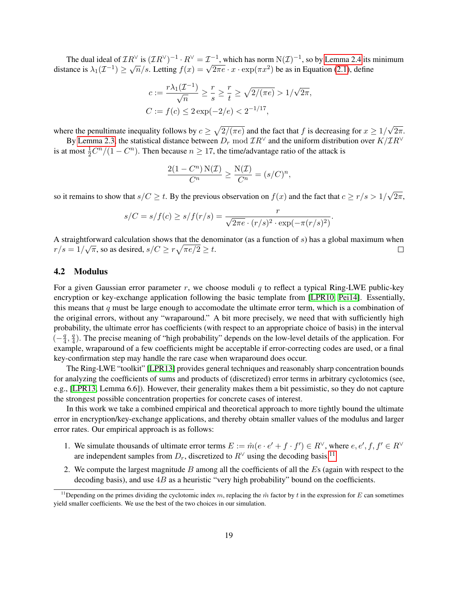The dual ideal of  $TR^{\vee}$  is  $(TR^{\vee})^{-1} \cdot R^{\vee} = \mathcal{I}^{-1}$ , which has norm  $N(\mathcal{I})^{-1}$ , so by [Lemma 2.4](#page-11-1) its minimum The dual ideal of  $\mathcal{L}\mathbb{R}^+$  is  $(\mathcal{L}\mathbb{R}^+)$   $\to \mathbb{R}^+$  =  $\mathcal{L}^-$ , which has horm  $N(\mathcal{L})^-$ , so by Lemma 2.4 its in distance is  $\lambda_1(\mathcal{L}^{-1}) \geq \sqrt{n}/s$ . Letting  $f(x) = \sqrt{2\pi e} \cdot x \cdot \exp(\pi x^2)$  be as in Equation (

$$
c := \frac{r\lambda_1(\mathcal{I}^{-1})}{\sqrt{n}} \ge \frac{r}{s} \ge \frac{r}{t} \ge \sqrt{2/(\pi e)} > 1/\sqrt{2\pi},
$$
  

$$
C := f(c) \le 2\exp(-2/e) < 2^{-1/17},
$$

where the penultimate inequality follows by  $c \geq \sqrt{2/(\pi e)}$  and the fact that f is decreasing for  $x \geq 1/$ √  $2\pi$ .

By [Lemma 2.3,](#page-9-4) the statistical distance between  $D_r \mod TR^{\vee}$  and the uniform distribution over  $K/TR^{\vee}$ is at most  $\frac{1}{2}C^{n}/(1 - C^{n})$ . Then because  $n \geq 17$ , the time/advantage ratio of the attack is

$$
\frac{2(1 - C^n) N(\mathcal{I})}{C^n} \ge \frac{N(\mathcal{I})}{C^n} = (s/C)^n,
$$

so it remains to show that  $s/C \geq t$ . By the previous observation on  $f(x)$  and the fact that  $c \geq r/s > 1/s$ √  $2\pi,$ 

$$
s/C = s/f(c) \ge s/f(r/s) = \frac{r}{\sqrt{2\pi e} \cdot (r/s)^2 \cdot \exp(-\pi (r/s)^2)}.
$$

A straightforward calculation shows that the denominator (as a function of *s*) has a global maximum when  $r/s = 1/\sqrt{\pi}$ , so as desired,  $s/C \geq r\sqrt{\pi e/2} \geq t$ .  $\Box$ 

### <span id="page-18-0"></span>4.2 Modulus

For a given Gaussian error parameter r, we choose moduli q to reflect a typical Ring-LWE public-key encryption or key-exchange application following the basic template from [\[LPR10,](#page-25-1) [Pei14\]](#page-26-9). Essentially, this means that  $q$  must be large enough to accomodate the ultimate error term, which is a combination of the original errors, without any "wraparound." A bit more precisely, we need that with sufficiently high probability, the ultimate error has coefficients (with respect to an appropriate choice of basis) in the interval  $\frac{q}{\left(-\frac{q}{4}\right)}$  $\frac{q}{4}, \frac{q}{4}$  $\frac{q}{4}$ ). The precise meaning of "high probability" depends on the low-level details of the application. For example, wraparound of a few coefficients might be acceptable if error-correcting codes are used, or a final key-confirmation step may handle the rare case when wraparound does occur.

The Ring-LWE "toolkit" [\[LPR13\]](#page-25-6) provides general techniques and reasonably sharp concentration bounds for analyzing the coefficients of sums and products of (discretized) error terms in arbitrary cyclotomics (see, e.g., [\[LPR13,](#page-25-6) Lemma 6.6]). However, their generality makes them a bit pessimistic, so they do not capture the strongest possible concentration properties for concrete cases of interest.

In this work we take a combined empirical and theoretical approach to more tightly bound the ultimate error in encryption/key-exchange applications, and thereby obtain smaller values of the modulus and larger error rates. Our empirical approach is as follows:

- 1. We simulate thousands of ultimate error terms  $E := \hat{m}(e \cdot e' + f \cdot f') \in R^{\vee}$ , where  $e, e', f, f' \in R^{\vee}$ are independent samples from  $D_r$ , discretized to  $R^{\vee}$  using the decoding basis.<sup>[11](#page-18-1)</sup>
- 2. We compute the largest magnitude  $B$  among all the coefficients of all the  $E_s$  (again with respect to the decoding basis), and use  $4B$  as a heuristic "very high probability" bound on the coefficients.

<span id="page-18-1"></span><sup>&</sup>lt;sup>11</sup>Depending on the primes dividing the cyclotomic index m, replacing the  $\hat{m}$  factor by t in the expression for E can sometimes yield smaller coefficients. We use the best of the two choices in our simulation.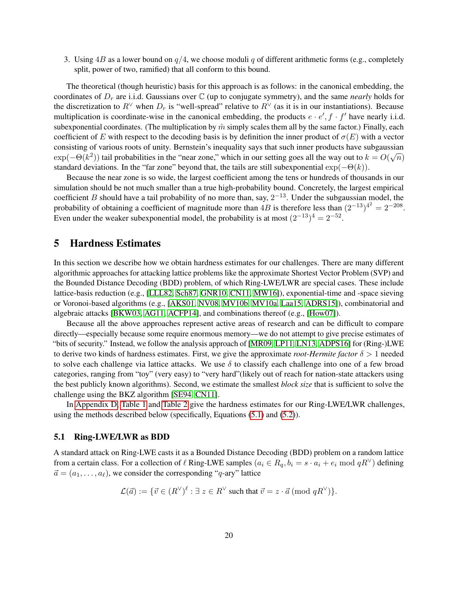3. Using  $4B$  as a lower bound on  $q/4$ , we choose moduli q of different arithmetic forms (e.g., completely split, power of two, ramified) that all conform to this bound.

The theoretical (though heuristic) basis for this approach is as follows: in the canonical embedding, the coordinates of  $D_r$  are i.i.d. Gaussians over  $\mathbb C$  (up to conjugate symmetry), and the same *nearly* holds for the discretization to  $R^{\vee}$  when  $D_r$  is "well-spread" relative to  $R^{\vee}$  (as it is in our instantiations). Because multiplication is coordinate-wise in the canonical embedding, the products  $e \cdot e'$ ,  $f \cdot f'$  have nearly i.i.d. subexponential coordinates. (The multiplication by  $\hat{m}$  simply scales them all by the same factor.) Finally, each coefficient of E with respect to the decoding basis is by definition the inner product of  $\sigma(E)$  with a vector consisting of various roots of unity. Bernstein's inequality says that such inner products have subgaussian √  $\exp(-\Theta(k^2))$  tail probabilities in the "near zone," which in our setting goes all the way out to  $k = O(\sqrt{n})$ standard deviations. In the "far zone" beyond that, the tails are still subexponential  $\exp(-\Theta(k))$ .

Because the near zone is so wide, the largest coefficient among the tens or hundreds of thousands in our simulation should be not much smaller than a true high-probability bound. Concretely, the largest empirical coefficient *B* should have a tail probability of no more than, say,  $2^{-13}$ . Under the subgaussian model, the probability of obtaining a coefficient of magnitude more than  $4B$  is therefore less than  $(2^{-13})^{4^2} = 2^{-208}$ . Even under the weaker subexponential model, the probability is at most  $(2^{-13})^4 = 2^{-52}$ .

## <span id="page-19-0"></span>5 Hardness Estimates

In this section we describe how we obtain hardness estimates for our challenges. There are many different algorithmic approaches for attacking lattice problems like the approximate Shortest Vector Problem (SVP) and the Bounded Distance Decoding (BDD) problem, of which Ring-LWE/LWR are special cases. These include lattice-basis reduction (e.g., [\[LLL82,](#page-24-11) [Sch87,](#page-26-15) [GNR10,](#page-24-12) [CN11,](#page-23-13) [MW16\]](#page-25-13)), exponential-time and -space sieving or Voronoi-based algorithms (e.g., [\[AKS01,](#page-22-14) [NV08,](#page-26-16) [MV10b,](#page-25-14) [MV10a,](#page-25-15) [Laa15,](#page-24-13) [ADRS15\]](#page-22-15)), combinatorial and algebraic attacks [\[BKW03,](#page-23-14) [AG11,](#page-22-4) [ACFP14\]](#page-21-0), and combinations thereof (e.g., [\[How07\]](#page-24-14)).

Because all the above approaches represent active areas of research and can be difficult to compare directly—especially because some require enormous memory—we do not attempt to give precise estimates of "bits of security." Instead, we follow the analysis approach of [\[MR09,](#page-25-2) [LP11,](#page-25-4) [LN13,](#page-25-5) [ADPS16\]](#page-22-1) for (Ring-)LWE to derive two kinds of hardness estimates. First, we give the approximate *root-Hermite factor*  $\delta > 1$  needed to solve each challenge via lattice attacks. We use  $\delta$  to classify each challenge into one of a few broad categories, ranging from "toy" (very easy) to "very hard"(likely out of reach for nation-state attackers using the best publicly known algorithms). Second, we estimate the smallest *block size* that is sufficient to solve the challenge using the BKZ algorithm [\[SE94,](#page-26-17) [CN11\]](#page-23-13).

In [Appendix D,](#page-32-0) [Table 1](#page-32-1) and [Table 2](#page-37-0) give the hardness estimates for our Ring-LWE/LWR challenges, using the methods described below (specifically, Equations [\(5.1\)](#page-20-0) and [\(5.2\)](#page-21-4)).

### <span id="page-19-1"></span>5.1 Ring-LWE/LWR as BDD

A standard attack on Ring-LWE casts it as a Bounded Distance Decoding (BDD) problem on a random lattice from a certain class. For a collection of  $\ell$  Ring-LWE samples  $(a_i \in R_q, b_i = s \cdot a_i + e_i \mod qR^{\vee})$  defining  $\vec{a} = (a_1, \dots, a_\ell)$ , we consider the corresponding "q-ary" lattice

$$
\mathcal{L}(\vec{a}) := \{ \vec{v} \in (R^{\vee})^{\ell} : \exists z \in R^{\vee} \text{ such that } \vec{v} = z \cdot \vec{a} \text{ (mod } qR^{\vee}) \}.
$$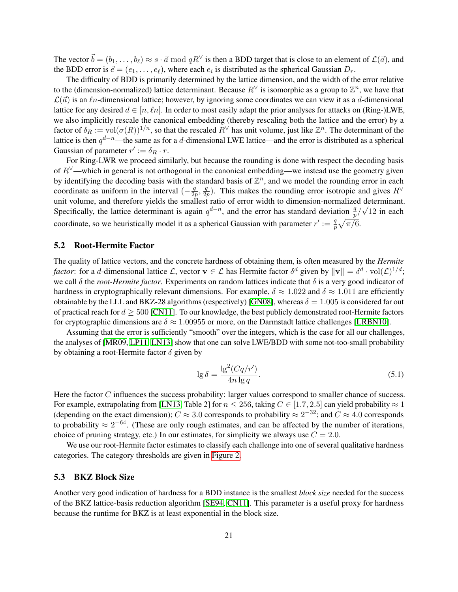The vector  $\vec{b} = (b_1, \ldots, b_\ell) \approx s \cdot \vec{a} \mod qR^\vee$  is then a BDD target that is close to an element of  $\mathcal{L}(\vec{a})$ , and the BDD error is  $\vec{e} = (e_1, \dots, e_\ell)$ , where each  $e_i$  is distributed as the spherical Gaussian  $D_r$ .

The difficulty of BDD is primarily determined by the lattice dimension, and the width of the error relative to the (dimension-normalized) lattice determinant. Because  $R^{\vee}$  is isomorphic as a group to  $\mathbb{Z}^n$ , we have that  $\mathcal{L}(\vec{a})$  is an  $\ell_n$ -dimensional lattice; however, by ignoring some coordinates we can view it as a d-dimensional lattice for any desired  $d \in [n, \ell n]$ . In order to most easily adapt the prior analyses for attacks on (Ring-)LWE, we also implicitly rescale the canonical embedding (thereby rescaling both the lattice and the error) by a factor of  $\delta_R := \text{vol}(\sigma(R))^{1/n}$ , so that the rescaled  $R^{\vee}$  has unit volume, just like  $\mathbb{Z}^n$ . The determinant of the lattice is then  $q^{d-n}$ —the same as for a d-dimensional LWE lattice—and the error is distributed as a spherical Gaussian of parameter  $r' := \delta_R \cdot r$ .

For Ring-LWR we proceed similarly, but because the rounding is done with respect the decoding basis of  $R^{\vee}$ —which in general is not orthogonal in the canonical embedding—we instead use the geometry given by identifying the decoding basis with the standard basis of  $\mathbb{Z}^n$ , and we model the rounding error in each coordinate as uniform in the interval  $\left(-\frac{q}{2a}\right)$  $\frac{q}{2p}, \frac{q}{2p}$  $\frac{q}{2p}$ ). This makes the rounding error isotropic and gives  $R^{\vee}$ unit volume, and therefore yields the smallest ratio of error width to dimension-normalized determinant. Specifically, the lattice determinant is again  $q^{d-n}$ , and the error has standard deviation  $\frac{q}{p}/\sqrt{12}$  in each coordinate, so we heuristically model it as a spherical Gaussian with parameter  $r' := \frac{q}{n}$  $\frac{q}{p}\sqrt{\pi/6}.$ 

### <span id="page-20-1"></span>5.2 Root-Hermite Factor

The quality of lattice vectors, and the concrete hardness of obtaining them, is often measured by the *Hermite factor*: for a *d*-dimensional lattice L, vector  $\mathbf{v} \in \mathcal{L}$  has Hermite factor  $\delta^d$  given by  $\|\mathbf{v}\| = \delta^d \cdot \text{vol}(\mathcal{L})^{1/d}$ ; we call  $\delta$  the *root-Hermite factor*. Experiments on random lattices indicate that  $\delta$  is a very good indicator of hardness in cryptographically relevant dimensions. For example,  $\delta \approx 1.022$  and  $\delta \approx 1.011$  are efficiently obtainable by the LLL and BKZ-28 algorithms (respectively) [\[GN08\]](#page-24-15), whereas  $\delta = 1.005$  is considered far out of practical reach for  $d \geq 500$  [\[CN11\]](#page-23-13). To our knowledge, the best publicly demonstrated root-Hermite factors for cryptographic dimensions are  $\delta \approx 1.00955$  or more, on the Darmstadt lattice challenges [\[LRBN10\]](#page-25-16).

Assuming that the error is sufficiently "smooth" over the integers, which is the case for all our challenges, the analyses of [\[MR09,](#page-25-2) [LP11,](#page-25-4) [LN13\]](#page-25-5) show that one can solve LWE/BDD with some not-too-small probability by obtaining a root-Hermite factor  $\delta$  given by

<span id="page-20-0"></span>
$$
\lg \delta = \frac{\lg^2(Cq/r')}{4n \lg q}.\tag{5.1}
$$

Here the factor  $C$  influences the success probability: larger values correspond to smaller chance of success. For example, extrapolating from [\[LN13,](#page-25-5) Table 2] for  $n \le 256$ , taking  $C \in [1.7, 2.5]$  can yield probability  $\approx 1$ (depending on the exact dimension);  $C \approx 3.0$  corresponds to probability  $\approx 2^{-32}$ ; and  $C \approx 4.0$  corresponds to probability  $\approx 2^{-64}$ . (These are only rough estimates, and can be affected by the number of iterations, choice of pruning strategy, etc.) In our estimates, for simplicity we always use  $C = 2.0$ .

We use our root-Hermite factor estimates to classify each challenge into one of several qualitative hardness categories. The category thresholds are given in [Figure 2.](#page-21-5)

#### <span id="page-20-2"></span>5.3 BKZ Block Size

Another very good indication of hardness for a BDD instance is the smallest *block size* needed for the success of the BKZ lattice-basis reduction algorithm [\[SE94,](#page-26-17) [CN11\]](#page-23-13). This parameter is a useful proxy for hardness because the runtime for BKZ is at least exponential in the block size.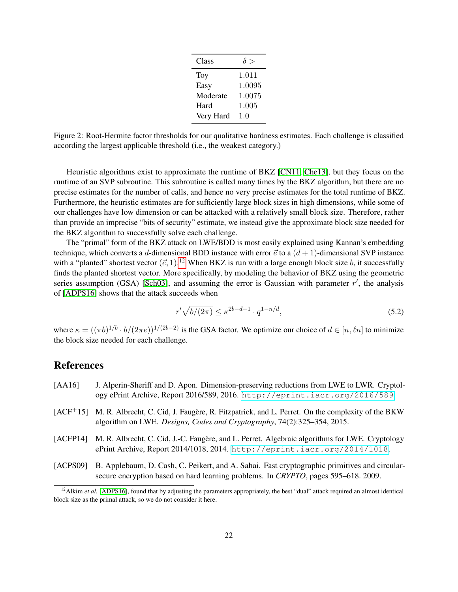| Class     | $\delta >$ |
|-----------|------------|
| Toy       | 1.011      |
| Easy      | 1.0095     |
| Moderate  | 1.0075     |
| Hard      | 1.005      |
| Very Hard | 1.0        |

<span id="page-21-5"></span>Figure 2: Root-Hermite factor thresholds for our qualitative hardness estimates. Each challenge is classified according the largest applicable threshold (i.e., the weakest category.)

Heuristic algorithms exist to approximate the runtime of BKZ [\[CN11,](#page-23-13) [Che13\]](#page-23-15), but they focus on the runtime of an SVP subroutine. This subroutine is called many times by the BKZ algorithm, but there are no precise estimates for the number of calls, and hence no very precise estimates for the total runtime of BKZ. Furthermore, the heuristic estimates are for sufficiently large block sizes in high dimensions, while some of our challenges have low dimension or can be attacked with a relatively small block size. Therefore, rather than provide an imprecise "bits of security" estimate, we instead give the approximate block size needed for the BKZ algorithm to successfully solve each challenge.

The "primal" form of the BKZ attack on LWE/BDD is most easily explained using Kannan's embedding technique, which converts a d-dimensional BDD instance with error  $\vec{e}$  to a  $(d+1)$ -dimensional SVP instance with a "planted" shortest vector  $(\vec{e}, 1)$ .<sup>[12](#page-21-6)</sup> When BKZ is run with a large enough block size b, it successfully finds the planted shortest vector. More specifically, by modeling the behavior of BKZ using the geometric series assumption (GSA) [\[Sch03\]](#page-26-18), and assuming the error is Gaussian with parameter  $r'$ , the analysis of [\[ADPS16\]](#page-22-1) shows that the attack succeeds when

<span id="page-21-4"></span>
$$
r'\sqrt{b/(2\pi)} \le \kappa^{2b-d-1} \cdot q^{1-n/d},\tag{5.2}
$$

where  $\kappa = ((\pi b)^{1/b} \cdot b/(2\pi e))^{1/(2b-2)}$  is the GSA factor. We optimize our choice of  $d \in [n, \ell n]$  to minimize the block size needed for each challenge.

## References

- <span id="page-21-1"></span>[AA16] J. Alperin-Sheriff and D. Apon. Dimension-preserving reductions from LWE to LWR. Cryptology ePrint Archive, Report 2016/589, 2016. <http://eprint.iacr.org/2016/589>.
- <span id="page-21-3"></span>[ACF<sup>+</sup>15] M. R. Albrecht, C. Cid, J. Faugère, R. Fitzpatrick, and L. Perret. On the complexity of the BKW algorithm on LWE. *Designs, Codes and Cryptography*, 74(2):325–354, 2015.
- <span id="page-21-0"></span>[ACFP14] M. R. Albrecht, C. Cid, J.-C. Faugère, and L. Perret. Algebraic algorithms for LWE. Cryptology ePrint Archive, Report 2014/1018, 2014. <http://eprint.iacr.org/2014/1018>.
- <span id="page-21-2"></span>[ACPS09] B. Applebaum, D. Cash, C. Peikert, and A. Sahai. Fast cryptographic primitives and circularsecure encryption based on hard learning problems. In *CRYPTO*, pages 595–618. 2009.

<span id="page-21-6"></span><sup>&</sup>lt;sup>12</sup>Alkim *et al.* [\[ADPS16\]](#page-22-1), found that by adjusting the parameters appropriately, the best "dual" attack required an almost identical block size as the primal attack, so we do not consider it here.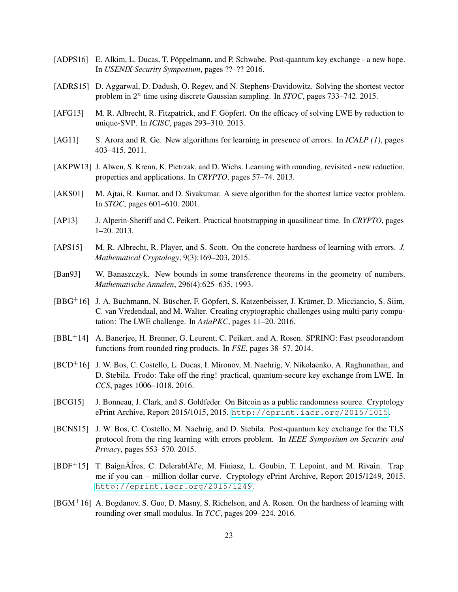- <span id="page-22-1"></span>[ADPS16] E. Alkim, L. Ducas, T. Pöppelmann, and P. Schwabe. Post-quantum key exchange - a new hope. In *USENIX Security Symposium*, pages ??–?? 2016.
- <span id="page-22-15"></span>[ADRS15] D. Aggarwal, D. Dadush, O. Regev, and N. Stephens-Davidowitz. Solving the shortest vector problem in 2<sup>n</sup> time using discrete Gaussian sampling. In *STOC*, pages 733–742. 2015.
- <span id="page-22-9"></span>[AFG13] M. R. Albrecht, R. Fitzpatrick, and F. Göpfert. On the efficacy of solving LWE by reduction to unique-SVP. In *ICISC*, pages 293–310. 2013.
- <span id="page-22-4"></span>[AG11] S. Arora and R. Ge. New algorithms for learning in presence of errors. In *ICALP (1)*, pages 403–415. 2011.
- <span id="page-22-6"></span>[AKPW13] J. Alwen, S. Krenn, K. Pietrzak, and D. Wichs. Learning with rounding, revisited - new reduction, properties and applications. In *CRYPTO*, pages 57–74. 2013.
- <span id="page-22-14"></span>[AKS01] M. Ajtai, R. Kumar, and D. Sivakumar. A sieve algorithm for the shortest lattice vector problem. In *STOC*, pages 601–610. 2001.
- <span id="page-22-5"></span>[AP13] J. Alperin-Sheriff and C. Peikert. Practical bootstrapping in quasilinear time. In *CRYPTO*, pages 1–20. 2013.
- <span id="page-22-10"></span>[APS15] M. R. Albrecht, R. Player, and S. Scott. On the concrete hardness of learning with errors. *J. Mathematical Cryptology*, 9(3):169–203, 2015.
- <span id="page-22-11"></span>[Ban93] W. Banaszczyk. New bounds in some transference theorems in the geometry of numbers. *Mathematische Annalen*, 296(4):625–635, 1993.
- <span id="page-22-8"></span>[BBG+16] J. A. Buchmann, N. Büscher, F. Göpfert, S. Katzenbeisser, J. Krämer, D. Micciancio, S. Siim, C. van Vredendaal, and M. Walter. Creating cryptographic challenges using multi-party computation: The LWE challenge. In *AsiaPKC*, pages 11–20. 2016.
- <span id="page-22-3"></span>[BBL+14] A. Banerjee, H. Brenner, G. Leurent, C. Peikert, and A. Rosen. SPRING: Fast pseudorandom functions from rounded ring products. In *FSE*, pages 38–57. 2014.
- <span id="page-22-2"></span>[BCD+16] J. W. Bos, C. Costello, L. Ducas, I. Mironov, M. Naehrig, V. Nikolaenko, A. Raghunathan, and D. Stebila. Frodo: Take off the ring! practical, quantum-secure key exchange from LWE. In *CCS*, pages 1006–1018. 2016.
- <span id="page-22-12"></span>[BCG15] J. Bonneau, J. Clark, and S. Goldfeder. On Bitcoin as a public randomness source. Cryptology ePrint Archive, Report 2015/1015, 2015. <http://eprint.iacr.org/2015/1015>.
- <span id="page-22-0"></span>[BCNS15] J. W. Bos, C. Costello, M. Naehrig, and D. Stebila. Post-quantum key exchange for the TLS protocol from the ring learning with errors problem. In *IEEE Symposium on Security and Privacy*, pages 553–570. 2015.
- <span id="page-22-13"></span>[BDF+15] T. Baignôlres, C. DelerablÃl'e, M. Finiasz, L. Goubin, T. Lepoint, and M. Rivain. Trap me if you can – million dollar curve. Cryptology ePrint Archive, Report 2015/1249, 2015. <http://eprint.iacr.org/2015/1249>.
- <span id="page-22-7"></span>[BGM+16] A. Bogdanov, S. Guo, D. Masny, S. Richelson, and A. Rosen. On the hardness of learning with rounding over small modulus. In *TCC*, pages 209–224. 2016.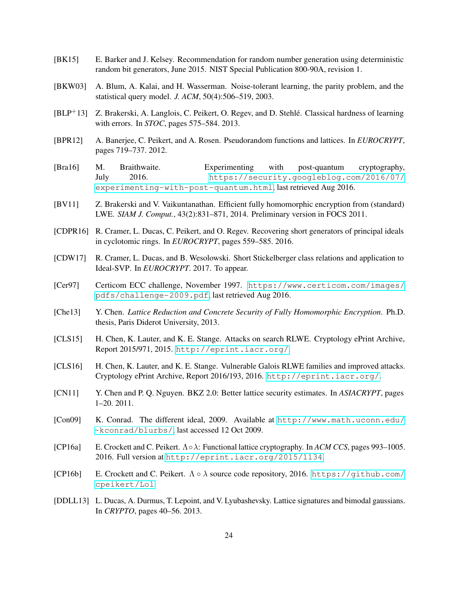- <span id="page-23-16"></span>[BK15] E. Barker and J. Kelsey. Recommendation for random number generation using deterministic random bit generators, June 2015. NIST Special Publication 800-90A, revision 1.
- <span id="page-23-14"></span>[BKW03] A. Blum, A. Kalai, and H. Wasserman. Noise-tolerant learning, the parity problem, and the statistical query model. *J. ACM*, 50(4):506–519, 2003.
- <span id="page-23-10"></span>[BLP+13] Z. Brakerski, A. Langlois, C. Peikert, O. Regev, and D. Stehlé. Classical hardness of learning with errors. In *STOC*, pages 575–584. 2013.
- <span id="page-23-3"></span>[BPR12] A. Banerjee, C. Peikert, and A. Rosen. Pseudorandom functions and lattices. In *EUROCRYPT*, pages 719–737. 2012.
- <span id="page-23-0"></span>[Bra16] M. Braithwaite. Experimenting with post-quantum cryptography, July 2016. [https://security.googleblog.com/2016/07/](https://security.googleblog.com/2016/07/experimenting-with-post-quantum.html) [experimenting-with-post-quantum.html](https://security.googleblog.com/2016/07/experimenting-with-post-quantum.html), last retrieved Aug 2016.
- <span id="page-23-9"></span>[BV11] Z. Brakerski and V. Vaikuntanathan. Efficient fully homomorphic encryption from (standard) LWE. *SIAM J. Comput.*, 43(2):831–871, 2014. Preliminary version in FOCS 2011.
- <span id="page-23-4"></span>[CDPR16] R. Cramer, L. Ducas, C. Peikert, and O. Regev. Recovering short generators of principal ideals in cyclotomic rings. In *EUROCRYPT*, pages 559–585. 2016.
- <span id="page-23-5"></span>[CDW17] R. Cramer, L. Ducas, and B. Wesolowski. Short Stickelberger class relations and application to Ideal-SVP. In *EUROCRYPT*. 2017. To appear.
- <span id="page-23-11"></span>[Cer97] Certicom ECC challenge, November 1997. [https://www.certicom.com/images/](https://www.certicom.com/images/pdfs/challenge-2009.pdf) [pdfs/challenge-2009.pdf](https://www.certicom.com/images/pdfs/challenge-2009.pdf), last retrieved Aug 2016.
- <span id="page-23-15"></span>[Che13] Y. Chen. *Lattice Reduction and Concrete Security of Fully Homomorphic Encryption*. Ph.D. thesis, Paris Diderot University, 2013.
- <span id="page-23-6"></span>[CLS15] H. Chen, K. Lauter, and K. E. Stange. Attacks on search RLWE. Cryptology ePrint Archive, Report 2015/971, 2015. <http://eprint.iacr.org/>.
- <span id="page-23-8"></span>[CLS16] H. Chen, K. Lauter, and K. E. Stange. Vulnerable Galois RLWE families and improved attacks. Cryptology ePrint Archive, Report 2016/193, 2016. <http://eprint.iacr.org/>.
- <span id="page-23-13"></span>[CN11] Y. Chen and P. Q. Nguyen. BKZ 2.0: Better lattice security estimates. In *ASIACRYPT*, pages 1–20. 2011.
- <span id="page-23-12"></span>[Con09] K. Conrad. The different ideal, 2009. Available at [http://www.math.uconn.edu/](http://www.math.uconn.edu/~kconrad/blurbs/) [~kconrad/blurbs/](http://www.math.uconn.edu/~kconrad/blurbs/), last accessed 12 Oct 2009.
- <span id="page-23-2"></span>[CP16a] E. Crockett and C. Peikert. Λ∘λ: Functional lattice cryptography. In *ACM CCS*, pages 993–1005. 2016. Full version at <http://eprint.iacr.org/2015/1134>.
- <span id="page-23-7"></span>[CP16b] E. Crockett and C. Peikert.  $\Lambda \circ \lambda$  source code repository, 2016. [https://github.com/](https://github.com/cpeikert/Lol) [cpeikert/Lol](https://github.com/cpeikert/Lol).
- <span id="page-23-1"></span>[DDLL13] L. Ducas, A. Durmus, T. Lepoint, and V. Lyubashevsky. Lattice signatures and bimodal gaussians. In *CRYPTO*, pages 40–56. 2013.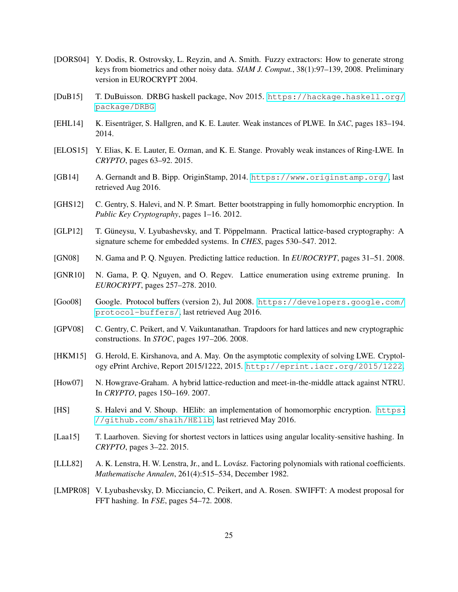- <span id="page-24-5"></span>[DORS04] Y. Dodis, R. Ostrovsky, L. Reyzin, and A. Smith. Fuzzy extractors: How to generate strong keys from biometrics and other noisy data. *SIAM J. Comput.*, 38(1):97–139, 2008. Preliminary version in EUROCRYPT 2004.
- <span id="page-24-16"></span>[DuB15] T. DuBuisson. DRBG haskell package, Nov 2015. [https://hackage.haskell.org/](https://hackage.haskell.org/package/DRBG) [package/DRBG](https://hackage.haskell.org/package/DRBG).
- <span id="page-24-7"></span>[EHL14] K. Eisenträger, S. Hallgren, and K. E. Lauter. Weak instances of PLWE. In *SAC*, pages 183–194. 2014.
- <span id="page-24-8"></span>[ELOS15] Y. Elias, K. E. Lauter, E. Ozman, and K. E. Stange. Provably weak instances of Ring-LWE. In *CRYPTO*, pages 63–92. 2015.
- <span id="page-24-10"></span>[GB14] A. Gernandt and B. Bipp. OriginStamp, 2014. <https://www.originstamp.org/>, last retrieved Aug 2016.
- <span id="page-24-6"></span>[GHS12] C. Gentry, S. Halevi, and N. P. Smart. Better bootstrapping in fully homomorphic encryption. In *Public Key Cryptography*, pages 1–16. 2012.
- <span id="page-24-1"></span>[GLP12] T. Güneysu, V. Lyubashevsky, and T. Pöppelmann. Practical lattice-based cryptography: A signature scheme for embedded systems. In *CHES*, pages 530–547. 2012.
- <span id="page-24-15"></span>[GN08] N. Gama and P. Q. Nguyen. Predicting lattice reduction. In *EUROCRYPT*, pages 31–51. 2008.
- <span id="page-24-12"></span>[GNR10] N. Gama, P. Q. Nguyen, and O. Regev. Lattice enumeration using extreme pruning. In *EUROCRYPT*, pages 257–278. 2010.
- <span id="page-24-4"></span>[Goo08] Google. Protocol buffers (version 2), Jul 2008. [https://developers.google.com/](https://developers.google.com/protocol-buffers/) [protocol-buffers/](https://developers.google.com/protocol-buffers/), last retrieved Aug 2016.
- <span id="page-24-9"></span>[GPV08] C. Gentry, C. Peikert, and V. Vaikuntanathan. Trapdoors for hard lattices and new cryptographic constructions. In *STOC*, pages 197–206. 2008.
- <span id="page-24-3"></span>[HKM15] G. Herold, E. Kirshanova, and A. May. On the asymptotic complexity of solving LWE. Cryptology ePrint Archive, Report 2015/1222, 2015. <http://eprint.iacr.org/2015/1222>.
- <span id="page-24-14"></span>[How07] N. Howgrave-Graham. A hybrid lattice-reduction and meet-in-the-middle attack against NTRU. In *CRYPTO*, pages 150–169. 2007.
- <span id="page-24-0"></span>[HS] S. Halevi and V. Shoup. HElib: an implementation of homomorphic encryption. [https:](https://github.com/shaih/HElib) [//github.com/shaih/HElib](https://github.com/shaih/HElib), last retrieved May 2016.
- <span id="page-24-13"></span>[Laa15] T. Laarhoven. Sieving for shortest vectors in lattices using angular locality-sensitive hashing. In *CRYPTO*, pages 3–22. 2015.
- <span id="page-24-11"></span>[LLL82] A. K. Lenstra, H. W. Lenstra, Jr., and L. Lovász. Factoring polynomials with rational coefficients. *Mathematische Annalen*, 261(4):515–534, December 1982.
- <span id="page-24-2"></span>[LMPR08] V. Lyubashevsky, D. Micciancio, C. Peikert, and A. Rosen. SWIFFT: A modest proposal for FFT hashing. In *FSE*, pages 54–72. 2008.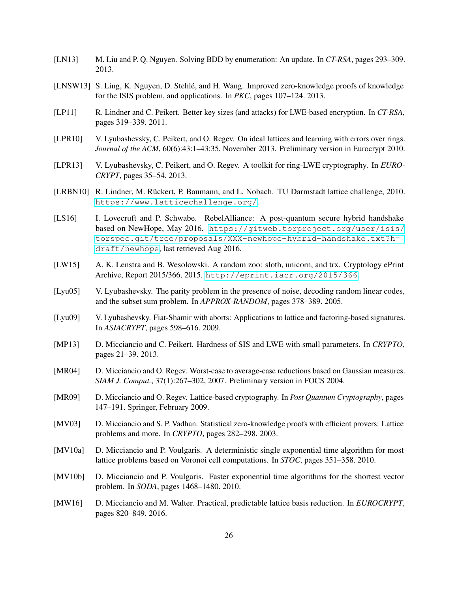- <span id="page-25-5"></span>[LN13] M. Liu and P. Q. Nguyen. Solving BDD by enumeration: An update. In *CT-RSA*, pages 293–309. 2013.
- <span id="page-25-12"></span>[LNSW13] S. Ling, K. Nguyen, D. Stehlé, and H. Wang. Improved zero-knowledge proofs of knowledge for the ISIS problem, and applications. In *PKC*, pages 107–124. 2013.
- <span id="page-25-4"></span>[LP11] R. Lindner and C. Peikert. Better key sizes (and attacks) for LWE-based encryption. In *CT-RSA*, pages 319–339. 2011.
- <span id="page-25-1"></span>[LPR10] V. Lyubashevsky, C. Peikert, and O. Regev. On ideal lattices and learning with errors over rings. *Journal of the ACM*, 60(6):43:1–43:35, November 2013. Preliminary version in Eurocrypt 2010.
- <span id="page-25-6"></span>[LPR13] V. Lyubashevsky, C. Peikert, and O. Regev. A toolkit for ring-LWE cryptography. In *EURO-CRYPT*, pages 35–54. 2013.
- <span id="page-25-16"></span>[LRBN10] R. Lindner, M. Rückert, P. Baumann, and L. Nobach. TU Darmstadt lattice challenge, 2010. <https://www.latticechallenge.org/>.
- <span id="page-25-0"></span>[LS16] I. Lovecruft and P. Schwabe. RebelAlliance: A post-quantum secure hybrid handshake based on NewHope, May 2016. [https://gitweb.torproject.org/user/isis/](https://gitweb.torproject.org/user/isis/torspec.git/tree/proposals/XXX-newhope-hybrid-handshake.txt?h=draft/newhope) [torspec.git/tree/proposals/XXX-newhope-hybrid-handshake.txt?h=](https://gitweb.torproject.org/user/isis/torspec.git/tree/proposals/XXX-newhope-hybrid-handshake.txt?h=draft/newhope) [draft/newhope](https://gitweb.torproject.org/user/isis/torspec.git/tree/proposals/XXX-newhope-hybrid-handshake.txt?h=draft/newhope), last retrieved Aug 2016.
- <span id="page-25-10"></span>[LW15] A. K. Lenstra and B. Wesolowski. A random zoo: sloth, unicorn, and trx. Cryptology ePrint Archive, Report 2015/366, 2015. <http://eprint.iacr.org/2015/366>.
- <span id="page-25-8"></span>[Lyu05] V. Lyubashevsky. The parity problem in the presence of noise, decoding random linear codes, and the subset sum problem. In *APPROX-RANDOM*, pages 378–389. 2005.
- <span id="page-25-3"></span>[Lyu09] V. Lyubashevsky. Fiat-Shamir with aborts: Applications to lattice and factoring-based signatures. In *ASIACRYPT*, pages 598–616. 2009.
- <span id="page-25-7"></span>[MP13] D. Micciancio and C. Peikert. Hardness of SIS and LWE with small parameters. In *CRYPTO*, pages 21–39. 2013.
- <span id="page-25-9"></span>[MR04] D. Micciancio and O. Regev. Worst-case to average-case reductions based on Gaussian measures. *SIAM J. Comput.*, 37(1):267–302, 2007. Preliminary version in FOCS 2004.
- <span id="page-25-2"></span>[MR09] D. Micciancio and O. Regev. Lattice-based cryptography. In *Post Quantum Cryptography*, pages 147–191. Springer, February 2009.
- <span id="page-25-11"></span>[MV03] D. Micciancio and S. P. Vadhan. Statistical zero-knowledge proofs with efficient provers: Lattice problems and more. In *CRYPTO*, pages 282–298. 2003.
- <span id="page-25-15"></span>[MV10a] D. Micciancio and P. Voulgaris. A deterministic single exponential time algorithm for most lattice problems based on Voronoi cell computations. In *STOC*, pages 351–358. 2010.
- <span id="page-25-14"></span>[MV10b] D. Micciancio and P. Voulgaris. Faster exponential time algorithms for the shortest vector problem. In *SODA*, pages 1468–1480. 2010.
- <span id="page-25-13"></span>[MW16] D. Micciancio and M. Walter. Practical, predictable lattice basis reduction. In *EUROCRYPT*, pages 820–849. 2016.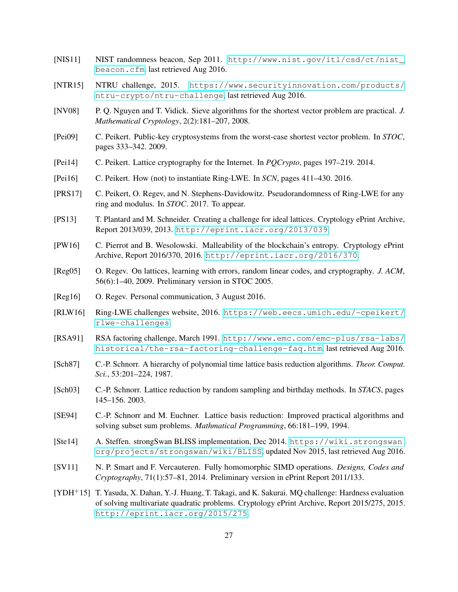- <span id="page-26-5"></span>[NIS11] NIST randomness beacon, Sep 2011. [http://www.nist.gov/itl/csd/ct/nist\\_](http://www.nist.gov/itl/csd/ct/nist_beacon.cfm) [beacon.cfm](http://www.nist.gov/itl/csd/ct/nist_beacon.cfm), last retrieved Aug 2016.
- <span id="page-26-12"></span>[NTR15] NTRU challenge, 2015. [https://www.securityinnovation.com/products/](https://www.securityinnovation.com/products/ntru-crypto/ntru-challenge) [ntru-crypto/ntru-challenge](https://www.securityinnovation.com/products/ntru-crypto/ntru-challenge), last retrieved Aug 2016.
- <span id="page-26-16"></span>[NV08] P. Q. Nguyen and T. Vidick. Sieve algorithms for the shortest vector problem are practical. *J. Mathematical Cryptology*, 2(2):181–207, 2008.
- <span id="page-26-7"></span>[Pei09] C. Peikert. Public-key cryptosystems from the worst-case shortest vector problem. In *STOC*, pages 333–342. 2009.
- <span id="page-26-9"></span>[Pei14] C. Peikert. Lattice cryptography for the Internet. In *PQCrypto*, pages 197–219. 2014.
- <span id="page-26-3"></span>[Pei16] C. Peikert. How (not) to instantiate Ring-LWE. In *SCN*, pages 411–430. 2016.
- <span id="page-26-2"></span>[PRS17] C. Peikert, O. Regev, and N. Stephens-Davidowitz. Pseudorandomness of Ring-LWE for any ring and modulus. In *STOC*. 2017. To appear.
- <span id="page-26-11"></span>[PS13] T. Plantard and M. Schneider. Creating a challenge for ideal lattices. Cryptology ePrint Archive, Report 2013/039, 2013. <http://eprint.iacr.org/2013/039>.
- <span id="page-26-14"></span>[PW16] C. Pierrot and B. Wesolowski. Malleability of the blockchain's entropy. Cryptology ePrint Archive, Report 2016/370, 2016. <http://eprint.iacr.org/2016/370>.
- <span id="page-26-1"></span>[Reg05] O. Regev. On lattices, learning with errors, random linear codes, and cryptography. *J. ACM*, 56(6):1–40, 2009. Preliminary version in STOC 2005.
- <span id="page-26-8"></span>[Reg16] O. Regev. Personal communication, 3 August 2016.
- <span id="page-26-4"></span>[RLW16] Ring-LWE challenges website, 2016. [https://web.eecs.umich.edu/~cpeikert/](https://web.eecs.umich.edu/~cpeikert/rlwe-challenges) [rlwe-challenges](https://web.eecs.umich.edu/~cpeikert/rlwe-challenges).
- <span id="page-26-10"></span>[RSA91] RSA factoring challenge, March 1991. [http://www.emc.com/emc-plus/rsa-labs/](http://www.emc.com/emc-plus/rsa-labs/historical/the-rsa-factoring-challenge-faq.htm) [historical/the-rsa-factoring-challenge-faq.htm](http://www.emc.com/emc-plus/rsa-labs/historical/the-rsa-factoring-challenge-faq.htm), last retrieved Aug 2016.
- <span id="page-26-15"></span>[Sch87] C.-P. Schnorr. A hierarchy of polynomial time lattice basis reduction algorithms. *Theor. Comput. Sci.*, 53:201–224, 1987.
- <span id="page-26-18"></span>[Sch03] C.-P. Schnorr. Lattice reduction by random sampling and birthday methods. In *STACS*, pages 145–156. 2003.
- <span id="page-26-17"></span>[SE94] C.-P. Schnorr and M. Euchner. Lattice basis reduction: Improved practical algorithms and solving subset sum problems. *Mathmatical Programming*, 66:181–199, 1994.
- <span id="page-26-0"></span>[Ste14] A. Steffen. strongSwan BLISS implementation, Dec 2014. [https://wiki.strongswan.](https://wiki.strongswan.org/projects/strongswan/wiki/BLISS) [org/projects/strongswan/wiki/BLISS](https://wiki.strongswan.org/projects/strongswan/wiki/BLISS), updated Nov 2015, last retrieved Aug 2016.
- <span id="page-26-6"></span>[SV11] N. P. Smart and F. Vercauteren. Fully homomorphic SIMD operations. *Designs, Codes and Cryptography*, 71(1):57–81, 2014. Preliminary version in ePrint Report 2011/133.
- <span id="page-26-13"></span>[YDH+15] T. Yasuda, X. Dahan, Y.-J. Huang, T. Takagi, and K. Sakurai. MQ challenge: Hardness evaluation of solving multivariate quadratic problems. Cryptology ePrint Archive, Report 2015/275, 2015. <http://eprint.iacr.org/2015/275>.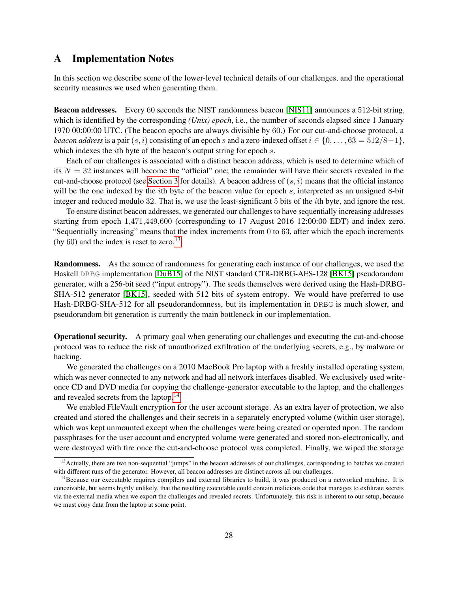## <span id="page-27-0"></span>A Implementation Notes

In this section we describe some of the lower-level technical details of our challenges, and the operational security measures we used when generating them.

Beacon addresses. Every 60 seconds the NIST randomness beacon [\[NIS11\]](#page-26-5) announces a 512-bit string, which is identified by the corresponding *(Unix) epoch*, i.e., the number of seconds elapsed since 1 January 1970 00:00:00 UTC. (The beacon epochs are always divisible by 60.) For our cut-and-choose protocol, a *beacon address* is a pair  $(s, i)$  consisting of an epoch s and a zero-indexed offset  $i \in \{0, \ldots, 63 = 512/8-1\}$ , which indexes the *i*th byte of the beacon's output string for epoch  $s$ .

Each of our challenges is associated with a distinct beacon address, which is used to determine which of its  $N = 32$  instances will become the "official" one; the remainder will have their secrets revealed in the cut-and-choose protocol (see [Section 3](#page-12-0) for details). A beacon address of  $(s, i)$  means that the official instance will be the one indexed by the *i*th byte of the beacon value for epoch  $s$ , interpreted as an unsigned 8-bit integer and reduced modulo 32. That is, we use the least-significant 5 bits of the *i*th byte, and ignore the rest.

To ensure distinct beacon addresses, we generated our challenges to have sequentially increasing addresses starting from epoch 1,471,449,600 (corresponding to 17 August 2016 12:00:00 EDT) and index zero. "Sequentially increasing" means that the index increments from 0 to 63, after which the epoch increments (by  $60$ ) and the index is reset to zero.<sup>[13](#page-27-1)</sup>

Randomness. As the source of randomness for generating each instance of our challenges, we used the Haskell DRBG implementation [\[DuB15\]](#page-24-16) of the NIST standard CTR-DRBG-AES-128 [\[BK15\]](#page-23-16) pseudorandom generator, with a 256-bit seed ("input entropy"). The seeds themselves were derived using the Hash-DRBG-SHA-512 generator [\[BK15\]](#page-23-16), seeded with 512 bits of system entropy. We would have preferred to use Hash-DRBG-SHA-512 for all pseudorandomness, but its implementation in DRBG is much slower, and pseudorandom bit generation is currently the main bottleneck in our implementation.

Operational security. A primary goal when generating our challenges and executing the cut-and-choose protocol was to reduce the risk of unauthorized exfiltration of the underlying secrets, e.g., by malware or hacking.

We generated the challenges on a 2010 MacBook Pro laptop with a freshly installed operating system, which was never connected to any network and had all network interfaces disabled. We exclusively used writeonce CD and DVD media for copying the challenge-generator executable to the laptop, and the challenges and revealed secrets from the laptop.<sup>[14](#page-27-2)</sup>

We enabled FileVault encryption for the user account storage. As an extra layer of protection, we also created and stored the challenges and their secrets in a separately encrypted volume (within user storage), which was kept unmounted except when the challenges were being created or operated upon. The random passphrases for the user account and encrypted volume were generated and stored non-electronically, and were destroyed with fire once the cut-and-choose protocol was completed. Finally, we wiped the storage

<span id="page-27-1"></span><sup>&</sup>lt;sup>13</sup>Actually, there are two non-sequential "jumps" in the beacon addresses of our challenges, corresponding to batches we created with different runs of the generator. However, all beacon addresses are distinct across all our challenges.

<span id="page-27-2"></span><sup>&</sup>lt;sup>14</sup>Because our executable requires compilers and external libraries to build, it was produced on a networked machine. It is conceivable, but seems highly unlikely, that the resulting executable could contain malicious code that manages to exfiltrate secrets via the external media when we export the challenges and revealed secrets. Unfortunately, this risk is inherent to our setup, because we must copy data from the laptop at some point.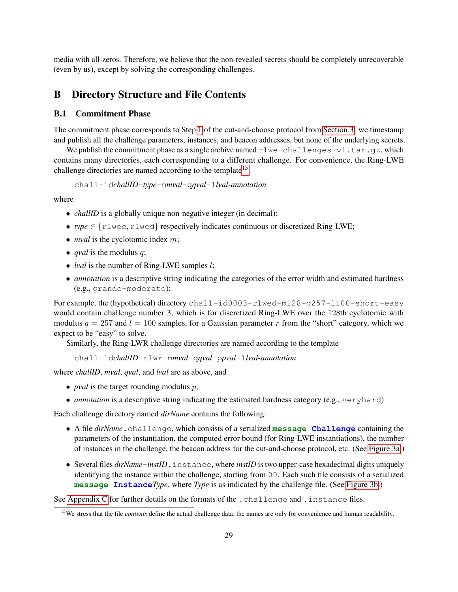media with all-zeros. Therefore, we believe that the non-revealed secrets should be completely unrecoverable (even by us), except by solving the corresponding challenges.

## <span id="page-28-0"></span>B Directory Structure and File Contents

### B.1 Commitment Phase

The commitment phase corresponds to Step [1](#page-12-2) of the cut-and-choose protocol from [Section 3:](#page-12-0) we timestamp and publish all the challenge parameters, instances, and beacon addresses, but none of the underlying secrets.

We publish the commitment phase as a single archive named  $r1we$ -challenges-v1.tar.gz, which contains many directories, each corresponding to a different challenge. For convenience, the Ring-LWE challenge directories are named according to the template<sup>[15](#page-28-1)</sup>

chall-id*challID*-*type*-m*mval*-q*qval*-l*lval*-*annotation*

where

- ∙ *challID* is a globally unique non-negative integer (in decimal);
- ∙ *type* ∈ {rlwec, rlwed} respectively indicates continuous or discretized Ring-LWE;
- *mval* is the cyclotomic index *m*;
- ∙ *qval* is the modulus ;
- ∙ *lval* is the number of Ring-LWE samples ;
- ∙ *annotation* is a descriptive string indicating the categories of the error width and estimated hardness (e.g., grande-moderate);

For example, the (hypothetical) directory chall-id0003-rlwed-m128-q257-l100-short-easy would contain challenge number 3, which is for discretized Ring-LWE over the 128th cyclotomic with modulus  $q = 257$  and  $l = 100$  samples, for a Gaussian parameter r from the "short" category, which we expect to be "easy" to solve.

Similarly, the Ring-LWR challenge directories are named according to the template

chall-id*challID*-rlwr-m*mval*-q*qval*-p*pval*-l*lval*-*annotation*

where *challID*, *mval*, *qval*, and *lval* are as above, and

- *pval* is the target rounding modulus *p*;
- ∙ *annotation* is a descriptive string indicating the estimated hardness category (e.g., veryhard)

Each challenge directory named *dirName* contains the following:

- ∙ A file *dirName*.challenge, which consists of a serialized **message Challenge** containing the parameters of the instantiation, the computed error bound (for Ring-LWE instantiations), the number of instances in the challenge, the beacon address for the cut-and-choose protocol, etc. (See [Figure 3a.](#page-30-0))
- ∙ Several files *dirName*-*instID*.instance, where *instID* is two upper-case hexadecimal digits uniquely identifying the instance within the challenge, starting from 00. Each such file consists of a serialized **message Instance***Type*, where *Type* is as indicated by the challenge file. (See [Figure 3b.](#page-31-0))

See [Appendix C](#page-29-0) for further details on the formats of the .challenge and .instance files.

<span id="page-28-1"></span><sup>&</sup>lt;sup>15</sup>We stress that the file *contents* define the actual challenge data; the names are only for convenience and human readability.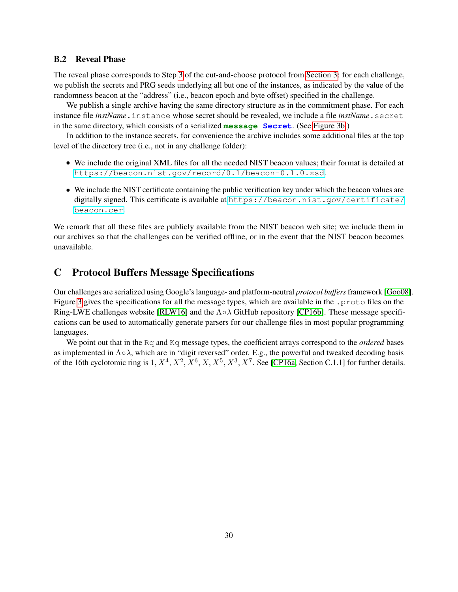### B.2 Reveal Phase

The reveal phase corresponds to Step [3](#page-13-0) of the cut-and-choose protocol from [Section 3:](#page-12-0) for each challenge, we publish the secrets and PRG seeds underlying all but one of the instances, as indicated by the value of the randomness beacon at the "address" (i.e., beacon epoch and byte offset) specified in the challenge.

We publish a single archive having the same directory structure as in the commitment phase. For each instance file *instName*.instance whose secret should be revealed, we include a file *instName*.secret in the same directory, which consists of a serialized **message Secret**. (See [Figure 3b.](#page-31-0))

In addition to the instance secrets, for convenience the archive includes some additional files at the top level of the directory tree (i.e., not in any challenge folder):

- ∙ We include the original XML files for all the needed NIST beacon values; their format is detailed at <https://beacon.nist.gov/record/0.1/beacon-0.1.0.xsd>.
- ∙ We include the NIST certificate containing the public verification key under which the beacon values are digitally signed. This certificate is available at [https://beacon.nist.gov/certificate/](https://beacon.nist.gov/certificate/beacon.cer) [beacon.cer](https://beacon.nist.gov/certificate/beacon.cer).

We remark that all these files are publicly available from the NIST beacon web site; we include them in our archives so that the challenges can be verified offline, or in the event that the NIST beacon becomes unavailable.

## <span id="page-29-0"></span>C Protocol Buffers Message Specifications

Our challenges are serialized using Google's language- and platform-neutral *protocol buffers*framework [\[Goo08\]](#page-24-4). Figure [3](#page-30-0) gives the specifications for all the message types, which are available in the .proto files on the Ring-LWE challenges website [\[RLW16\]](#page-26-4) and the Λ∘λ GitHub repository [\[CP16b\]](#page-23-7). These message specifications can be used to automatically generate parsers for our challenge files in most popular programming languages.

We point out that in the Rq and Kq message types, the coefficient arrays correspond to the *ordered* bases as implemented in  $\Lambda \circ \lambda$ , which are in "digit reversed" order. E.g., the powerful and tweaked decoding basis of the 16th cyclotomic ring is  $1, X^4, X^2, X^6, X, X^5, X^3, X^7$ . See [\[CP16a,](#page-23-2) Section C.1.1] for further details.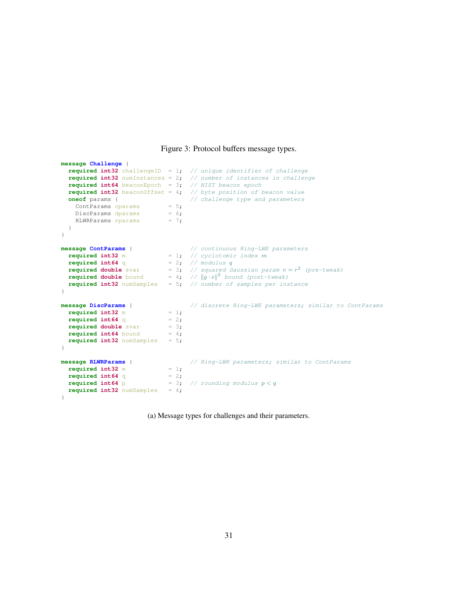#### Figure 3: Protocol buffers message types.

```
message Challenge {
  required int32 challengeID = 1; // unique identifier of challenge
  required int32 numInstances = 2; // number of instances in challenge
  required int64 beaconEpoch = 3; // NIST beacon epoch
  required int64 beaconEpoch = 3; // NIST beacon epoch<br>required int32 beaconOffset = 4; // byte position of beacon value
  oneof params { \prime / challenge type and parameters<br>
ContParams cparams = 5;<br>
DiscParams dparams = 6;<br>
RIWRParams rparams = 7:
   ContParams cparams
    DiscParams dparams
    RLWRParams rparams = 7;
  }
}
message ContParams { // continuous Ring-LWE parameters
  required int32 m = 1; \frac{1}{2} // cyclotomic index m
  required int64 q = 2; // modulus q
  required double svar = 3; // squared Gaussian param v = r^2 (pre-tweak)
  required double bound = 4; // ||g \cdot e||^2 bound (post-tweak)
  required int32 numSamples = 5; // number of samples per instance
}
message DiscParams { // discrete Ring-LWE parameters; similar to ContParams
  required int32 m = 1;<br>required int64 q = 2;
  required int64 q = 2;<br>required double svar = 3;
  required double svar
  required int64 bound = 4;
  required int32 numSamples = 5;
}
message RLWRParams { // Ring-LWR parameters; similar to ContParams
 required int32 m = 1;<br>required int64 q = 2;
  required int64 q<br>required int64 p
                                r = 3; // rounding modulus p < qrequired int32 numSamples = 4;
}
```
(a) Message types for challenges and their parameters.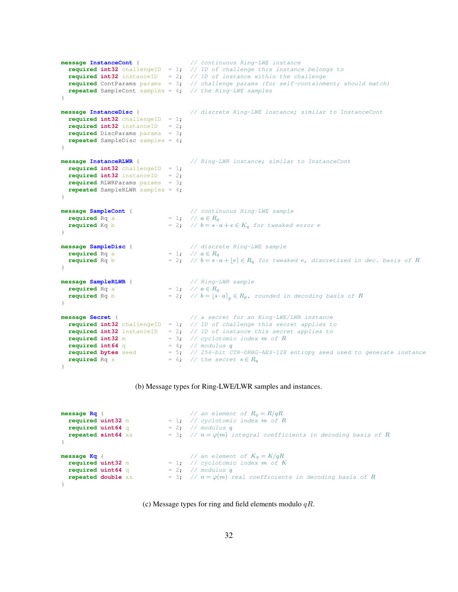```
message InstanceCont { // continuous Ring-LWE instance
 required int32 challengeID = 1; \frac{1}{\sqrt{D}} of challenge this instance belongs to
  required int32 instanceID = 2; // ID of instance within the challenge
  required ContParams params = 3; // challenge params (for self-containment; should match)
  repeated SampleCont samples = 4; // the Ring-LWE samples
}
message InstanceDisc { \frac{1}{2} // discrete Ring-LWE instance; similar to InstanceCont
  required int32 challengeID = 1;
  required int32 instanceID = 2;
  required DiscParams params = 3;
  repeated SampleDisc samples = 4;
}
message InstanceRLWR { // Ring-LWR instance; similar to InstanceCont
  required int32 challengeID = 1;
  required int32 instanceID = 2;
  required RLWRParams params = 3;
  repeated SampleRLWR samples = 4;
}
message SampleCont { \frac{1}{2} // continuous Ring-LWE sample<br>required Rq a = 1 ; \frac{1}{2} // a \in R_qrequired Rq a<br>required Kq b
                                = 2; // b = s \cdot a + e \in K_q for tweaked error e
}
message SampleDisc { // discrete Ring-LWE sample
 required Rq a = 1; //  ∈ 
  required Rq b = 2; // b = s \cdot a + |e| \in R_q for tweaked e, discretized in dec. basis of R
}
message SampleRLWR { // Ring-LWR sample
 required Rq a<br>required Rq b
                             random \begin{aligned} \begin{aligned} \mathbf{r} &= 1; \quad \text{if} \quad \mathbf{R}_q \\ \mathbf{r} &= 2; \quad \text{if} \quad \mathbf{R} = \begin{bmatrix} s \cdot a \end{bmatrix}_p \in R_p, \quad \text{rounded in decoding basis of } R \end{aligned}}
message Secret { // a secret for an Ring-LWE/LWR instance
  required int32 challengeID = 1; // ID of challenge this secret applies to
  required int32 instanceID = 2; // ID of instance this secret applies to
  required int32 m = 3; // cyclotomic index m of Rrequired int64 q = 4; // modulus q
  required bytes seed = 5; // 256-bit CTR-DRBG-AES-128 entropy seed used to generate instance
  required Rq s = 6; // the secret s \in R_q}
```
#### (b) Message types for Ring-LWE/LWR samples and instances.

```
message Rq {<br>\angle / an element of R_q = R/qR<br>required uint32 m = 1; // cyclotomic index m of l
                                  = 1; // cyclotomic index m \stackrel{\rightarrow}{of} Rrequired uint64 q = 2; // modulus q<br>repeated sint64 xs = 3; // n = \varphi(m) i
                                   = 3; // n = \varphi(m) integral coefficients in decoding basis of R
}
message Kq { \angle // an element of K_q = K/qRrequired uint32 m = 1; // cyclotomic index m of K
  required uint64 q
 required uint64 q = 2; // modulus q<br>
repeated double xs = 3; // n = \varphi(m) real coefficients in decoding basis of R
\lambda
```
#### (c) Message types for ring and field elements modulo  $qR$ .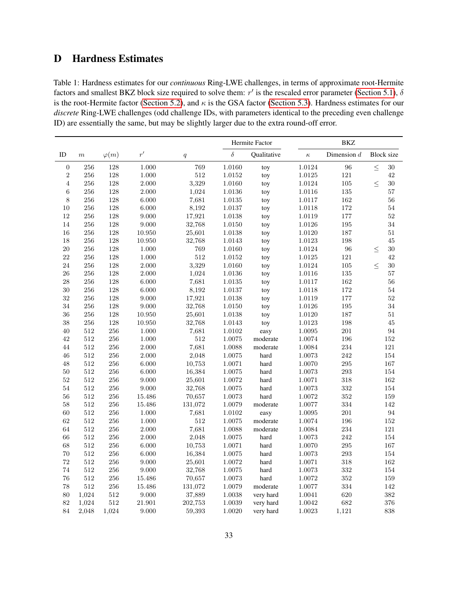# <span id="page-32-0"></span>D Hardness Estimates

<span id="page-32-1"></span>Table 1: Hardness estimates for our *continuous* Ring-LWE challenges, in terms of approximate root-Hermite factors and smallest BKZ block size required to solve them:  $r'$  is the rescaled error parameter [\(Section 5.1\)](#page-19-1),  $\delta$ is the root-Hermite factor [\(Section 5.2\)](#page-20-1), and  $\kappa$  is the GSA factor [\(Section 5.3\)](#page-20-2). Hardness estimates for our *discrete* Ring-LWE challenges (odd challenge IDs, with parameters identical to the preceding even challenge ID) are essentially the same, but may be slightly larger due to the extra round-off error.

|                  |         |              |        |         | Hermite Factor |             |            | <b>BKZ</b>    |                   |  |  |
|------------------|---------|--------------|--------|---------|----------------|-------------|------------|---------------|-------------------|--|--|
| ID               | $\,m$   | $\varphi(m)$ | r'     | q       | $\delta$       | Oualitative | $\kappa$   | Dimension $d$ | <b>Block</b> size |  |  |
| $\boldsymbol{0}$ | 256     | 128          | 1.000  | 769     | 1.0160         | toy         | 1.0124     | 96            | $\leq$<br>30      |  |  |
| $\sqrt{2}$       | 256     | 128          | 1.000  | 512     | 1.0152         | toy         | 1.0125     | $121\,$       | 42                |  |  |
| $\overline{4}$   | 256     | 128          | 2.000  | 3,329   | 1.0160         | toy         | $1.0124\,$ | 105           | 30<br>$\leq$      |  |  |
| $\,6$            | 256     | 128          | 2.000  | 1,024   | 1.0136         | toy         | 1.0116     | 135           | 57                |  |  |
| $\,8\,$          | 256     | 128          | 6.000  | 7,681   | 1.0135         | toy         | 1.0117     | 162           | 56                |  |  |
| 10               | $256\,$ | 128          | 6.000  | 8,192   | 1.0137         | toy         | 1.0118     | 172           | $54\,$            |  |  |
| 12               | 256     | 128          | 9.000  | 17,921  | 1.0138         | toy         | 1.0119     | 177           | 52                |  |  |
| 14               | 256     | 128          | 9.000  | 32,768  | 1.0150         | toy         | 1.0126     | 195           | 34                |  |  |
| 16               | 256     | 128          | 10.950 | 25,601  | 1.0138         | toy         | 1.0120     | 187           | $51\,$            |  |  |
| 18               | $256\,$ | 128          | 10.950 | 32,768  | 1.0143         | toy         | 1.0123     | 198           | 45                |  |  |
| $20\,$           | $256\,$ | 128          | 1.000  | 769     | 1.0160         | toy         | 1.0124     | 96            | 30<br>$\leq$      |  |  |
| 22               | 256     | 128          | 1.000  | 512     | 1.0152         | toy         | 1.0125     | 121           | 42                |  |  |
| 24               | 256     | 128          | 2.000  | 3,329   | 1.0160         | toy         | $1.0124\,$ | 105           | $\leq$<br>30      |  |  |
| 26               | 256     | 128          | 2.000  | 1,024   | 1.0136         | toy         | 1.0116     | 135           | 57                |  |  |
| 28               | 256     | 128          | 6.000  | 7,681   | 1.0135         | toy         | 1.0117     | 162           | 56                |  |  |
| 30               | 256     | 128          | 6.000  | 8,192   | 1.0137         | toy         | 1.0118     | 172           | $54\,$            |  |  |
| $32\,$           | 256     | 128          | 9.000  | 17,921  | 1.0138         | toy         | 1.0119     | 177           | $52\,$            |  |  |
| 34               | 256     | 128          | 9.000  | 32,768  | 1.0150         | toy         | $1.0126\,$ | 195           | 34                |  |  |
| 36               | 256     | 128          | 10.950 | 25,601  | 1.0138         | toy         | 1.0120     | 187           | $51\,$            |  |  |
| 38               | 256     | 128          | 10.950 | 32,768  | 1.0143         | toy         | 1.0123     | 198           | 45                |  |  |
| $40\,$           | 512     | 256          | 1.000  | 7,681   | 1.0102         | easy        | 1.0095     | $201\,$       | 94                |  |  |
| 42               | 512     | 256          | 1.000  | 512     | 1.0075         | moderate    | 1.0074     | 196           | $152\,$           |  |  |
| 44               | 512     | 256          | 2.000  | 7,681   | 1.0088         | moderate    | 1.0084     | 234           | 121               |  |  |
| 46               | 512     | 256          | 2.000  | 2,048   | 1.0075         | hard        | $1.0073\,$ | 242           | 154               |  |  |
| 48               | $512\,$ | 256          | 6.000  | 10,753  | 1.0071         | hard        | 1.0070     | 295           | 167               |  |  |
| 50               | 512     | 256          | 6.000  | 16,384  | 1.0075         | hard        | 1.0073     | 293           | 154               |  |  |
| 52               | $512\,$ | 256          | 9.000  | 25,601  | 1.0072         | hard        | 1.0071     | 318           | 162               |  |  |
| 54               | 512     | 256          | 9.000  | 32,768  | 1.0075         | hard        | 1.0073     | 332           | 154               |  |  |
| 56               | 512     | $256\,$      | 15.486 | 70,657  | 1.0073         | hard        | $1.0072\,$ | $352\,$       | 159               |  |  |
| 58               | $512\,$ | 256          | 15.486 | 131,072 | 1.0079         | moderate    | 1.0077     | 334           | $142\,$           |  |  |
| 60               | 512     | 256          | 1.000  | 7,681   | 1.0102         | easy        | 1.0095     | $201\,$       | 94                |  |  |
| 62               | $512\,$ | 256          | 1.000  | $512\,$ | 1.0075         | moderate    | 1.0074     | 196           | 152               |  |  |
| 64               | 512     | 256          | 2.000  | 7,681   | 1.0088         | moderate    | 1.0084     | 234           | 121               |  |  |
| 66               | 512     | 256          | 2.000  | 2,048   | 1.0075         | hard        | 1.0073     | 242           | 154               |  |  |
| 68               | $512\,$ | 256          | 6.000  | 10,753  | 1.0071         | hard        | 1.0070     | 295           | 167               |  |  |
| 70               | 512     | 256          | 6.000  | 16,384  | 1.0075         | hard        | 1.0073     | 293           | 154               |  |  |
| 72               | 512     | 256          | 9.000  | 25,601  | 1.0072         | hard        | 1.0071     | 318           | 162               |  |  |
| 74               | 512     | 256          | 9.000  | 32,768  | 1.0075         | hard        | 1.0073     | 332           | 154               |  |  |
| 76               | 512     | 256          | 15.486 | 70,657  | 1.0073         | hard        | 1.0072     | 352           | 159               |  |  |
| 78               | 512     | 256          | 15.486 | 131,072 | 1.0079         | moderate    | $1.0077\,$ | 334           | 142               |  |  |
| 80               | 1,024   | 512          | 9.000  | 37,889  | 1.0038         | very hard   | 1.0041     | 620           | 382               |  |  |
| 82               | 1,024   | 512          | 21.901 | 202,753 | 1.0039         | very hard   | 1.0042     | 682           | 376               |  |  |
| 84               | 2,048   | 1,024        | 9.000  | 59,393  | 1.0020         | very hard   | 1.0023     | 1,121         | 838               |  |  |
|                  |         |              |        |         |                |             |            |               |                   |  |  |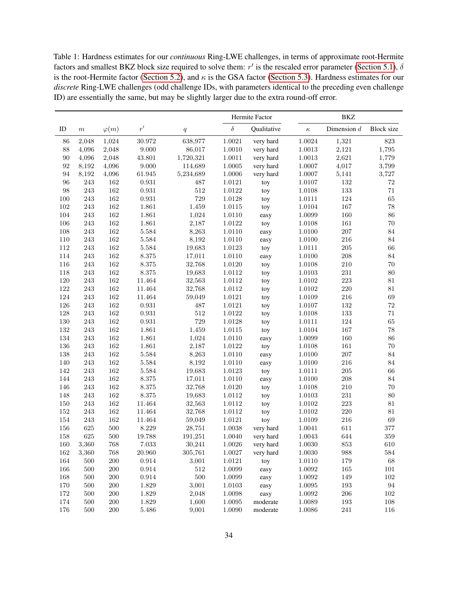Table 1: Hardness estimates for our *continuous* Ring-LWE challenges, in terms of approximate root-Hermite factors and smallest BKZ block size required to solve them:  $r'$  is the rescaled error parameter [\(Section 5.1\)](#page-19-1),  $\delta$ is the root-Hermite factor [\(Section 5.2\)](#page-20-1), and  $\kappa$  is the GSA factor [\(Section 5.3\)](#page-20-2). Hardness estimates for our *discrete* Ring-LWE challenges (odd challenge IDs, with parameters identical to the preceding even challenge ID) are essentially the same, but may be slightly larger due to the extra round-off error.

|         |                  |              |              |           | Hermite Factor |             |            | <b>BKZ</b>    |                   |  |  |
|---------|------------------|--------------|--------------|-----------|----------------|-------------|------------|---------------|-------------------|--|--|
| ID      | $\boldsymbol{m}$ | $\varphi(m)$ | $r^{\prime}$ | q         | $\delta$       | Qualitative | $\kappa$   | Dimension $d$ | <b>Block</b> size |  |  |
| 86      | 2,048            | 1,024        | 30.972       | 638,977   | 1.0021         | very hard   | 1.0024     | 1,321         | 823               |  |  |
| 88      | 4,096            | 2,048        | 9.000        | 86,017    | $1.0010\,$     | very hard   | $1.0013\,$ | 2,121         | 1,795             |  |  |
| 90      | 4,096            | 2,048        | 43.801       | 1,720,321 | 1.0011         | very hard   | 1.0013     | 2,621         | 1,779             |  |  |
| 92      | 8,192            | 4,096        | 9.000        | 114,689   | 1.0005         | very hard   | 1.0007     | 4,017         | 3,799             |  |  |
| 94      | 8,192            | 4,096        | 61.945       | 5,234,689 | 1.0006         | very hard   | 1.0007     | 5,141         | 3,727             |  |  |
| 96      | 243              | 162          | $\rm 0.931$  | 487       | 1.0121         | toy         | 1.0107     | 132           | $\rm 72$          |  |  |
| 98      | $243\,$          | 162          | 0.931        | 512       | 1.0122         | toy         | 1.0108     | 133           | 71                |  |  |
| 100     | 243              | 162          | $\rm 0.931$  | 729       | 1.0128         | toy         | 1.0111     | 124           | 65                |  |  |
| 102     | 243              | 162          | 1.861        | 1,459     | 1.0115         | toy         | 1.0104     | 167           | 78                |  |  |
| 104     | 243              | 162          | 1.861        | 1,024     | 1.0110         | easy        | 1.0099     | 160           | $86\,$            |  |  |
| 106     | 243              | 162          | 1.861        | 2,187     | 1.0122         | toy         | 1.0108     | 161           | $70\,$            |  |  |
| 108     | 243              | 162          | $5.584\,$    | 8,263     | 1.0110         | easy        | 1.0100     | 207           | 84                |  |  |
| 110     | 243              | 162          | 5.584        | 8,192     | 1.0110         | easy        | 1.0100     | 216           | 84                |  |  |
| 112     | 243              | 162          | 5.584        | 19,683    | 1.0123         | toy         | 1.0111     | 205           | 66                |  |  |
| 114     | 243              | 162          | 8.375        | 17,011    | 1.0110         | easy        | 1.0100     | 208           | 84                |  |  |
| 116     | 243              | 162          | 8.375        | 32,768    | 1.0120         | toy         | 1.0108     | 210           | $70\,$            |  |  |
| 118     | $243\,$          | 162          | 8.375        | 19,683    | $1.0112\,$     | toy         | 1.0103     | $\bf 231$     | $80\,$            |  |  |
| 120     | $243\,$          | 162          | 11.464       | 32,563    | $1.0112\,$     | toy         | 1.0102     | 223           | $81\,$            |  |  |
| 122     | 243              | 162          | 11.464       | 32,768    | 1.0112         | toy         | 1.0102     | 220           | $81\,$            |  |  |
| $124\,$ | 243              | 162          | 11.464       | 59,049    | 1.0121         | toy         | 1.0109     | 216           | 69                |  |  |
| 126     | $243\,$          | 162          | 0.931        | 487       | 1.0121         | toy         | 1.0107     | 132           | $\sqrt{72}$       |  |  |
| 128     | $243\,$          | 162          | $\rm 0.931$  | 512       | 1.0122         | toy         | 1.0108     | 133           | $71\,$            |  |  |
| 130     | 243              | 162          | $\rm 0.931$  | 729       | 1.0128         | toy         | 1.0111     | 124           | 65                |  |  |
| 132     | $243\,$          | 162          | 1.861        | 1,459     | 1.0115         | toy         | 1.0104     | 167           | 78                |  |  |
| 134     | 243              | 162          | 1.861        | 1,024     | 1.0110         | easy        | 1.0099     | 160           | 86                |  |  |
| 136     | 243              | 162          | 1.861        | 2,187     | 1.0122         | toy         | 1.0108     | 161           | 70                |  |  |
| 138     | $243\,$          | 162          | $5.584\,$    | 8,263     | 1.0110         | easy        | 1.0100     | 207           | $\bf 84$          |  |  |
| 140     | $243\,$          | $162\,$      | 5.584        | 8,192     | 1.0110         | easy        | 1.0100     | 216           | $\bf 84$          |  |  |
| 142     | 243              | $162\,$      | 5.584        | 19,683    | 1.0123         | toy         | 1.0111     | 205           | $66\,$            |  |  |
| 144     | $243\,$          | $162\,$      | 8.375        | 17,011    | 1.0110         | easy        | 1.0100     | 208           | $\bf 84$          |  |  |
| 146     | 243              | $162\,$      | 8.375        | 32,768    | 1.0120         | toy         | 1.0108     | 210           | $70\,$            |  |  |
| 148     | 243              | 162          | 8.375        | 19,683    | 1.0112         | toy         | 1.0103     | 231           | $80\,$            |  |  |
| 150     | $243\,$          | $162\,$      | 11.464       | 32,563    | 1.0112         | toy         | 1.0102     | 223           | 81                |  |  |
| $152\,$ | $243\,$          | $162\,$      | 11.464       | 32,768    | $1.0112\,$     | toy         | 1.0102     | $220\,$       | $81\,$            |  |  |
| 154     | 243              | 162          | 11.464       | 59,049    | 1.0121         | toy         | 1.0109     | 216           | 69                |  |  |
| 156     | 625              | 500          | 8.229        | 28,751    | 1.0038         | very hard   | 1.0041     | 611           | 377               |  |  |
| 158     | 625              | 500          | 19.788       | 191,251   | 1.0040         | very hard   | 1.0043     | 644           | 359               |  |  |
| 160     | 3,360            | 768          | 7.033        | 30,241    | 1.0026         | very hard   | 1.0030     | 853           | 610               |  |  |
| $162\,$ | 3,360            | 768          | $20.960\,$   | 305,761   | 1.0027         | very hard   | 1.0030     | 988           | 584               |  |  |
| 164     | 500              | 200          | 0.914        | 3,001     | 1.0121         | toy         | 1.0110     | $179\,$       | $68\,$            |  |  |
| 166     | $500\,$          | $200\,$      | 0.914        | $512\,$   | 1.0099         | easy        | 1.0092     | 165           | $101\,$           |  |  |
| $168\,$ | 500              | $200\,$      | $\,0.914\,$  | $500\,$   | 1.0099         | easy        | 1.0092     | 149           | $102\,$           |  |  |
| 170     | 500              | 200          | 1.829        | 3,001     | 1.0103         | easy        | 1.0095     | 193           | $\bf 94$          |  |  |
| $172\,$ | $500\,$          | $200\,$      | 1.829        | 2,048     | 1.0098         | easy        | 1.0092     | 206           | $102\,$           |  |  |
| $174\,$ | $500\,$          | $200\,$      | 1.829        | 1,600     | 1.0095         | moderate    | 1.0089     | $193\,$       | $108\,$           |  |  |
| $176\,$ | 500              | $200\,$      | 5.486        | 9,001     | 1.0090         | moderate    | 1.0086     | 241           | 116               |  |  |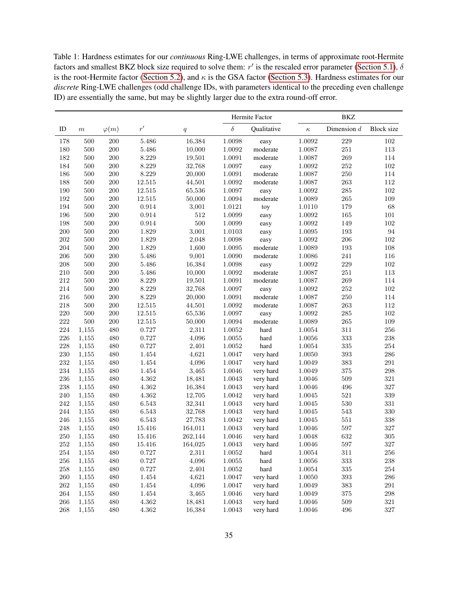Table 1: Hardness estimates for our *continuous* Ring-LWE challenges, in terms of approximate root-Hermite factors and smallest BKZ block size required to solve them:  $r'$  is the rescaled error parameter [\(Section 5.1\)](#page-19-1),  $\delta$ is the root-Hermite factor [\(Section 5.2\)](#page-20-1), and  $\kappa$  is the GSA factor [\(Section 5.3\)](#page-20-2). Hardness estimates for our *discrete* Ring-LWE challenges (odd challenge IDs, with parameters identical to the preceding even challenge ID) are essentially the same, but may be slightly larger due to the extra round-off error.

|         |         |              |           |                  |            | Hermite Factor |            | BKZ           |                   |
|---------|---------|--------------|-----------|------------------|------------|----------------|------------|---------------|-------------------|
| ID      | $\,m$   | $\varphi(m)$ | r'        | $\boldsymbol{q}$ | $\delta$   | Qualitative    | $\kappa$   | Dimension $d$ | <b>Block</b> size |
| 178     | 500     | 200          | 5.486     | 16,384           | 1.0098     | easy           | 1.0092     | 229           | 102               |
| 180     | 500     | 200          | 5.486     | 10,000           | 1.0092     | moderate       | 1.0087     | 251           | $113\,$           |
| 182     | 500     | 200          | 8.229     | 19,501           | 1.0091     | moderate       | 1.0087     | 269           | 114               |
| 184     | 500     | 200          | 8.229     | 32,768           | 1.0097     | easy           | 1.0092     | 252           | $102\,$           |
| 186     | 500     | 200          | 8.229     | 20,000           | 1.0091     | moderate       | 1.0087     | 250           | 114               |
| 188     | 500     | 200          | 12.515    | 44,501           | 1.0092     | moderate       | 1.0087     | 263           | 112               |
| 190     | 500     | 200          | 12.515    | 65,536           | 1.0097     | easy           | 1.0092     | 285           | $102\,$           |
| 192     | 500     | 200          | 12.515    | 50,000           | 1.0094     | moderate       | 1.0089     | 265           | 109               |
| 194     | 500     | 200          | 0.914     | 3,001            | 1.0121     | toy            | 1.0110     | 179           | 68                |
| 196     | 500     | 200          | 0.914     | 512              | 1.0099     | easy           | 1.0092     | 165           | $101\,$           |
| 198     | $500\,$ | 200          | 0.914     | $500\,$          | 1.0099     | easy           | 1.0092     | 149           | $102\,$           |
| 200     | 500     | 200          | 1.829     | 3,001            | 1.0103     | easy           | 1.0095     | 193           | $\rm 94$          |
| 202     | 500     | 200          | 1.829     | 2,048            | 1.0098     | easy           | 1.0092     | 206           | $102\,$           |
| 204     | 500     | 200          | 1.829     | 1,600            | 1.0095     | moderate       | 1.0089     | 193           | 108               |
| 206     | 500     | 200          | 5.486     | 9,001            | 1.0090     | moderate       | 1.0086     | 241           | 116               |
| 208     | 500     | 200          | 5.486     | 16,384           | 1.0098     | easy           | 1.0092     | 229           | $102\,$           |
| 210     | 500     | 200          | 5.486     | 10,000           | 1.0092     | moderate       | 1.0087     | 251           | 113               |
| 212     | 500     | 200          | 8.229     | 19,501           | 1.0091     | moderate       | 1.0087     | 269           | 114               |
| 214     | 500     | 200          | 8.229     | 32,768           | 1.0097     | easy           | 1.0092     | 252           | 102               |
| 216     | 500     | 200          | 8.229     | 20,000           | 1.0091     | moderate       | 1.0087     | 250           | 114               |
| 218     | 500     | 200          | 12.515    | 44,501           | 1.0092     | moderate       | 1.0087     | 263           | 112               |
| 220     | $500\,$ | 200          | 12.515    | 65,536           | 1.0097     | easy           | 1.0092     | 285           | $102\,$           |
| 222     | 500     | 200          | 12.515    | 50,000           | 1.0094     | moderate       | 1.0089     | 265           | 109               |
| 224     | 1,155   | 480          | 0.727     | 2,311            | 1.0052     | hard           | 1.0054     | 311           | $256\,$           |
| 226     | 1,155   | 480          | 0.727     | 4,096            | 1.0055     | hard           | 1.0056     | 333           | $\,238$           |
| 228     | 1,155   | 480          | 0.727     | 2,401            | 1.0052     | hard           | 1.0054     | 335           | 254               |
| 230     | 1,155   | 480          | 1.454     | 4,621            | 1.0047     | very hard      | 1.0050     | 393           | $\,286$           |
| 232     | 1,155   | 480          | $1.454\,$ | 4,096            | 1.0047     | very hard      | 1.0049     | 383           | $\,291$           |
| 234     | 1,155   | 480          | 1.454     | 3,465            | 1.0046     | very hard      | 1.0049     | 375           | 298               |
| 236     | 1,155   | 480          | 4.362     | 18,481           | 1.0043     | very hard      | 1.0046     | 509           | $321\,$           |
| 238     | 1,155   | 480          | 4.362     | 16,384           | 1.0043     | very hard      | 1.0046     | 496           | $327\,$           |
| 240     | 1,155   | 480          | 4.362     | 12,705           | 1.0042     | very hard      | 1.0045     | 521           | $339\,$           |
| 242     | 1,155   | 480          | 6.543     | 32,341           | 1.0043     | very hard      | 1.0045     | 530           | 331               |
| 244     | 1,155   | 480          | 6.543     | 32,768           | 1.0043     | very hard      | 1.0045     | 543           | $330\,$           |
| 246     | 1,155   | 480          | 6.543     | 27,783           | 1.0042     | very hard      | 1.0045     | 551           | $338\,$           |
| 248     | 1,155   | 480          | 15.416    | 164,011          | 1.0043     | very hard      | 1.0046     | 597           | $327\,$           |
| 250     | 1,155   | 480          | 15.416    | 262,144          | 1.0046     | very hard      | 1.0048     | 632           | $305\,$           |
| $252\,$ | 1,155   | 480          | 15.416    | 164,025          | 1.0043     | very hard      | 1.0046     | $597\,$       | $327\,$           |
| 254     | 1,155   | 480          | 0.727     | 2,311            | $1.0052\,$ | hard           | 1.0054     | $311\,$       | $256\,$           |
| 256     | 1,155   | 480          | 0.727     | 4,096            | $1.0055\,$ | hard           | $1.0056\,$ | $333\,$       | $\bf 238$         |
| $258\,$ | 1,155   | 480          | 0.727     | 2,401            | 1.0052     | hard           | 1.0054     | $335\,$       | $254\,$           |
| $260\,$ | 1,155   | 480          | $1.454\,$ | 4,621            | 1.0047     | very hard      | 1.0050     | $393\,$       | $\,286$           |
| $262\,$ | 1,155   | 480          | 1.454     | 4,096            | 1.0047     | very hard      | 1.0049     | $383\,$       | 291               |
| 264     | 1,155   | 480          | 1.454     | 3,465            | $1.0046\,$ | very hard      | 1.0049     | 375           | $\,298$           |
| $266\,$ | 1,155   | 480          | 4.362     | 18,481           | 1.0043     | very hard      | 1.0046     | $509\,$       | $321\,$           |
| 268     | 1,155   | 480          | 4.362     | 16,384           | 1.0043     | very hard      | 1.0046     | 496           | $327\,$           |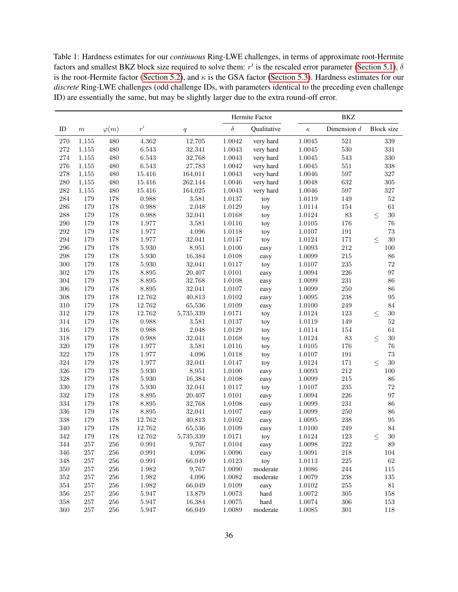Table 1: Hardness estimates for our *continuous* Ring-LWE challenges, in terms of approximate root-Hermite factors and smallest BKZ block size required to solve them:  $r'$  is the rescaled error parameter [\(Section 5.1\)](#page-19-1),  $\delta$ is the root-Hermite factor [\(Section 5.2\)](#page-20-1), and  $\kappa$  is the GSA factor [\(Section 5.3\)](#page-20-2). Hardness estimates for our *discrete* Ring-LWE challenges (odd challenge IDs, with parameters identical to the preceding even challenge ID) are essentially the same, but may be slightly larger due to the extra round-off error.

|         |                  |              |              |           | Hermite Factor |             |          | <b>BKZ</b>    |                   |  |  |
|---------|------------------|--------------|--------------|-----------|----------------|-------------|----------|---------------|-------------------|--|--|
| ID      | $\boldsymbol{m}$ | $\varphi(m)$ | $r^{\prime}$ | q         | $\delta$       | Qualitative | $\kappa$ | Dimension $d$ | <b>Block size</b> |  |  |
| 270     | 1,155            | 480          | 4.362        | 12,705    | 1.0042         | very hard   | 1.0045   | 521           | 339               |  |  |
| 272     | 1,155            | 480          | 6.543        | 32,341    | 1.0043         | very hard   | 1.0045   | 530           | 331               |  |  |
| 274     | 1,155            | 480          | 6.543        | 32,768    | 1.0043         | very hard   | 1.0045   | 543           | $330\,$           |  |  |
| 276     | 1,155            | 480          | 6.543        | 27,783    | 1.0042         | very hard   | 1.0045   | 551           | $338\,$           |  |  |
| 278     | 1,155            | 480          | 15.416       | 164,011   | 1.0043         | very hard   | 1.0046   | 597           | $327\,$           |  |  |
| 280     | 1,155            | 480          | 15.416       | 262,144   | 1.0046         | very hard   | 1.0048   | 632           | $305\,$           |  |  |
| 282     | 1,155            | 480          | 15.416       | 164,025   | 1.0043         | very hard   | 1.0046   | 597           | $327\,$           |  |  |
| 284     | 179              | 178          | 0.988        | 3,581     | 1.0137         | toy         | 1.0119   | 149           | $52\,$            |  |  |
| 286     | 179              | 178          | 0.988        | 2,048     | 1.0129         | toy         | 1.0114   | 154           | 61                |  |  |
| 288     | 179              | 178          | 0.988        | 32,041    | 1.0168         | toy         | 1.0124   | 83            | $30\,$<br>$\leq$  |  |  |
| 290     | 179              | 178          | 1.977        | 3,581     | 1.0116         | toy         | 1.0105   | 176           | $76\,$            |  |  |
| 292     | 179              | 178          | 1.977        | 4,096     | 1.0118         | toy         | 1.0107   | 191           | $73\,$            |  |  |
| 294     | 179              | 178          | 1.977        | 32,041    | 1.0147         | toy         | 1.0124   | 171           | $30\,$<br>$\leq$  |  |  |
| 296     | 179              | 178          | 5.930        | 8,951     | 1.0100         | easy        | 1.0093   | 212           | 100               |  |  |
| 298     | 179              | 178          | 5.930        | 16,384    | 1.0108         | easy        | 1.0099   | 215           | 86                |  |  |
| 300     | 179              | 178          | 5.930        | 32,041    | 1.0117         | toy         | 1.0107   | $\,235$       | 72                |  |  |
| 302     | 179              | 178          | 8.895        | 20,407    | 1.0101         | easy        | 1.0094   | 226           | 97                |  |  |
| 304     | 179              | 178          | 8.895        | 32,768    | 1.0108         | easy        | 1.0099   | 231           | 86                |  |  |
| 306     | 179              | 178          | 8.895        | 32,041    | 1.0107         | easy        | 1.0099   | 250           | 86                |  |  |
| 308     | 179              | 178          | 12.762       | 40,813    | 1.0102         | easy        | 1.0095   | 238           | 95                |  |  |
| 310     | 179              | 178          | 12.762       | 65,536    | 1.0109         | easy        | 1.0100   | 249           | 84                |  |  |
| 312     | 179              | 178          | 12.762       | 5,735,339 | 1.0171         | toy         | 1.0124   | 123           | $30\,$<br>$\leq$  |  |  |
| 314     | 179              | 178          | 0.988        | 3,581     | 1.0137         | toy         | 1.0119   | 149           | $52\,$            |  |  |
| 316     | 179              | 178          | 0.988        | 2,048     | 1.0129         | toy         | 1.0114   | 154           | 61                |  |  |
| 318     | 179              | 178          | 0.988        | 32,041    | 1.0168         | toy         | 1.0124   | 83            | $30\,$<br>$\leq$  |  |  |
| 320     | 179              | 178          | 1.977        | 3,581     | 1.0116         | toy         | 1.0105   | 176           | 76                |  |  |
| 322     | 179              | 178          | 1.977        | 4,096     | 1.0118         | toy         | 1.0107   | 191           | $73\,$            |  |  |
| 324     | 179              | 178          | 1.977        | 32,041    | 1.0147         | toy         | 1.0124   | 171           | $30\,$<br>$\leq$  |  |  |
| 326     | 179              | 178          | 5.930        | 8,951     | 1.0100         | easy        | 1.0093   | $212\,$       | $100\,$           |  |  |
| 328     | 179              | 178          | 5.930        | 16,384    | 1.0108         | easy        | 1.0099   | $215\,$       | $86\,$            |  |  |
| 330     | 179              | 178          | 5.930        | 32,041    | 1.0117         | toy         | 1.0107   | 235           | 72                |  |  |
| 332     | 179              | 178          | 8.895        | 20,407    | 1.0101         | easy        | 1.0094   | 226           | 97                |  |  |
| 334     | 179              | 178          | 8.895        | 32,768    | 1.0108         | easy        | 1.0099   | 231           | $86\,$            |  |  |
| 336     | 179              | 178          | 8.895        | 32,041    | 1.0107         | easy        | 1.0099   | 250           | 86                |  |  |
| 338     | 179              | 178          | 12.762       | 40,813    | 1.0102         | easy        | 1.0095   | 238           | 95                |  |  |
| 340     | 179              | 178          | 12.762       | 65,536    | 1.0109         | easy        | 1.0100   | 249           | 84                |  |  |
| 342     | 179              | 178          | 12.762       | 5,735,339 | 1.0171         | toy         | 1.0124   | 123           | $30\,$<br>$\leq$  |  |  |
| 344     | 257              | 256          | 0.991        | 9,767     | 1.0104         | easy        | 1.0098   | 222           | 89                |  |  |
| 346     | $257\,$          | $256\,$      | 0.991        | 4,096     | 1.0096         | easy        | 1.0091   | $218\,$       | $104\,$           |  |  |
| 348     | $257\,$          | $256\,$      | 0.991        | 66,049    | 1.0123         | toy         | 1.0113   | $225\,$       | $62\,$            |  |  |
| $350\,$ | $257\,$          | $256\,$      | 1.982        | 9,767     | 1.0090         | moderate    | 1.0086   | 244           | $115\,$           |  |  |
| 352     | $257\,$          | $256\,$      | $1.982\,$    | 4,096     | 1.0082         | moderate    | 1.0079   | $\,238$       | 135               |  |  |
| 354     | 257              | 256          | 1.982        | 66,049    | 1.0109         | easy        | 1.0102   | 255           | $81\,$            |  |  |
| 356     | $257\,$          | 256          | 5.947        | 13,879    | 1.0073         | hard        | 1.0072   | 305           | 158               |  |  |
| $358\,$ | $257\,$          | $256\,$      | 5.947        | 16,384    | $1.0075\,$     | hard        | 1.0074   | 306           | $153\,$           |  |  |
| 360     | $257\,$          | $256\,$      | 5.947        | 66,049    | 1.0089         | moderate    | 1.0085   | 301           | 118               |  |  |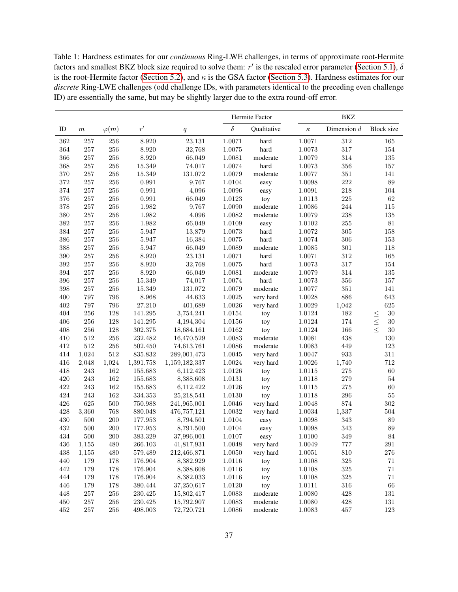Table 1: Hardness estimates for our *continuous* Ring-LWE challenges, in terms of approximate root-Hermite factors and smallest BKZ block size required to solve them:  $r'$  is the rescaled error parameter [\(Section 5.1\)](#page-19-1),  $\delta$ is the root-Hermite factor [\(Section 5.2\)](#page-20-1), and  $\kappa$  is the GSA factor [\(Section 5.3\)](#page-20-2). Hardness estimates for our *discrete* Ring-LWE challenges (odd challenge IDs, with parameters identical to the preceding even challenge ID) are essentially the same, but may be slightly larger due to the extra round-off error.

|         |         |              |             |               |          | Hermite Factor |          | BKZ           |                   |  |  |
|---------|---------|--------------|-------------|---------------|----------|----------------|----------|---------------|-------------------|--|--|
| ID      | $\,m$   | $\varphi(m)$ | r'          | q             | $\delta$ | Qualitative    | $\kappa$ | Dimension $d$ | <b>Block size</b> |  |  |
| 362     | 257     | $256\,$      | 8.920       | 23,131        | 1.0071   | hard           | 1.0071   | $312\,$       | 165               |  |  |
| 364     | 257     | 256          | 8.920       | 32,768        | 1.0075   | hard           | 1.0073   | 317           | 154               |  |  |
| 366     | $257\,$ | 256          | 8.920       | 66,049        | 1.0081   | moderate       | 1.0079   | 314           | $135\,$           |  |  |
| 368     | 257     | 256          | 15.349      | 74,017        | 1.0074   | hard           | 1.0073   | 356           | $157\,$           |  |  |
| 370     | $257\,$ | 256          | 15.349      | 131,072       | 1.0079   | moderate       | 1.0077   | $351\,$       | 141               |  |  |
| 372     | 257     | 256          | 0.991       | 9,767         | 1.0104   | easy           | 1.0098   | 222           | $89\,$            |  |  |
| 374     | 257     | 256          | 0.991       | 4,096         | 1.0096   | easy           | 1.0091   | 218           | 104               |  |  |
| 376     | 257     | 256          | $\,0.991\,$ | 66,049        | 1.0123   | toy            | 1.0113   | $225\,$       | $62\,$            |  |  |
| 378     | 257     | 256          | 1.982       | 9,767         | 1.0090   | moderate       | 1.0086   | 244           | $115\,$           |  |  |
| 380     | 257     | 256          | 1.982       | 4,096         | 1.0082   | moderate       | 1.0079   | 238           | $135\,$           |  |  |
| 382     | 257     | 256          | 1.982       | 66,049        | 1.0109   | easy           | 1.0102   | $255\,$       | $81\,$            |  |  |
| 384     | $257\,$ | 256          | 5.947       | 13,879        | 1.0073   | hard           | 1.0072   | 305           | 158               |  |  |
| 386     | 257     | 256          | 5.947       | 16,384        | 1.0075   | hard           | 1.0074   | 306           | $153\,$           |  |  |
| 388     | 257     | 256          | 5.947       | 66,049        | 1.0089   | moderate       | 1.0085   | 301           | 118               |  |  |
| 390     | $257\,$ | 256          | 8.920       | 23,131        | 1.0071   | hard           | 1.0071   | $312\,$       | 165               |  |  |
| 392     | 257     | 256          | 8.920       | 32,768        | 1.0075   | hard           | 1.0073   | 317           | 154               |  |  |
| 394     | $257\,$ | 256          | 8.920       | 66,049        | 1.0081   | moderate       | 1.0079   | 314           | $135\,$           |  |  |
| 396     | $257\,$ | 256          | 15.349      | 74,017        | 1.0074   | hard           | 1.0073   | 356           | $157\,$           |  |  |
| 398     | $257\,$ | 256          | 15.349      | 131,072       | 1.0079   | moderate       | 1.0077   | $351\,$       | 141               |  |  |
| 400     | 797     | 796          | 8.968       | 44,633        | 1.0025   | very hard      | 1.0028   | 886           | 643               |  |  |
| 402     | 797     | 796          | 27.210      | 401,689       | 1.0026   | very hard      | 1.0029   | 1,042         | 625               |  |  |
| 404     | 256     | 128          | 141.295     | 3,754,241     | 1.0154   | toy            | 1.0124   | 182           | $30\,$            |  |  |
| 406     | 256     | 128          | 141.295     | 4,194,304     | 1.0156   | toy            | 1.0124   | 174           | $\leq$<br>$30\,$  |  |  |
| 408     | 256     | 128          | 302.375     | 18,684,161    | 1.0162   | toy            | 1.0124   | 166           | $\leq$<br>$30\,$  |  |  |
| 410     | 512     | 256          | 232.482     | 16,470,529    | 1.0083   | moderate       | 1.0081   | 438           | $130\,$           |  |  |
| 412     | 512     | 256          | 502.450     | 74,613,761    | 1.0086   | moderate       | 1.0083   | 449           | 123               |  |  |
| 414     | 1,024   | $512\,$      | 835.832     | 289,001,473   | 1.0045   | very hard      | 1.0047   | 933           | $311\,$           |  |  |
| 416     | 2,048   | 1,024        | 1,391.758   | 1,159,182,337 | 1.0024   | very hard      | 1.0026   | 1,740         | $712\,$           |  |  |
| 418     | 243     | 162          | 155.683     | 6,112,423     | 1.0126   | toy            | 1.0115   | 275           | $60\,$            |  |  |
| 420     | 243     | 162          | 155.683     | 8,388,608     | 1.0131   | toy            | 1.0118   | 279           | $54\,$            |  |  |
| 422     | 243     | 162          | 155.683     | 6,112,422     | 1.0126   | toy            | 1.0115   | $275\,$       | 60                |  |  |
| 424     | 243     | 162          | 334.353     | 25,218,541    | 1.0130   | toy            | 1.0118   | 296           | $55\,$            |  |  |
| 426     | 625     | $500\,$      | 750.988     | 241,965,001   | 1.0046   | very hard      | 1.0048   | 874           | $302\,$           |  |  |
| 428     | 3,360   | 768          | 880.048     | 476,757,121   | 1.0032   | very hard      | 1.0034   | 1,337         | 504               |  |  |
| 430     | 500     | 200          | 177.953     | 8,794,501     | 1.0104   | easy           | 1.0098   | 343           | 89                |  |  |
| 432     | 500     | 200          | 177.953     | 8,791,500     | 1.0104   | easy           | 1.0098   | 343           | 89                |  |  |
| 434     | 500     | 200          | 383.329     | 37,996,001    | 1.0107   | easy           | 1.0100   | 349           | 84                |  |  |
| 436     | 1,155   | 480          | 266.103     | 41,817,931    | 1.0048   | very hard      | 1.0049   | 777           | 291               |  |  |
| 438     | 1,155   | 480          | 579.489     | 212,466,871   | 1.0050   | very hard      | 1.0051   | $810\,$       | $276\,$           |  |  |
| 440     | 179     | $178\,$      | 176.904     | 8,382,929     | 1.0116   | toy            | 1.0108   | $325\,$       | $71\,$            |  |  |
| 442     | 179     | 178          | 176.904     | 8,388,608     | 1.0116   | toy            | 1.0108   | $325\,$       | $71\,$            |  |  |
| 444     | 179     | 178          | 176.904     | 8,382,033     | 1.0116   | toy            | 1.0108   | $325\,$       | $71\,$            |  |  |
| 446     | 179     | 178          | 380.444     | 37,250,617    | 1.0120   | toy            | 1.0111   | $316\,$       | $66\,$            |  |  |
| 448     | $257\,$ | $256\,$      | 230.425     | 15,802,417    | 1.0083   | moderate       | 1.0080   | 428           | 131               |  |  |
| $450\,$ | $257\,$ | $256\,$      | 230.425     | 15,792,907    | 1.0083   | moderate       | 1.0080   | $428\,$       | $131\,$           |  |  |
| $452\,$ | $257\,$ | $256\,$      | 498.003     | 72,720,721    | 1.0086   | moderate       | 1.0083   | $457\,$       | 123               |  |  |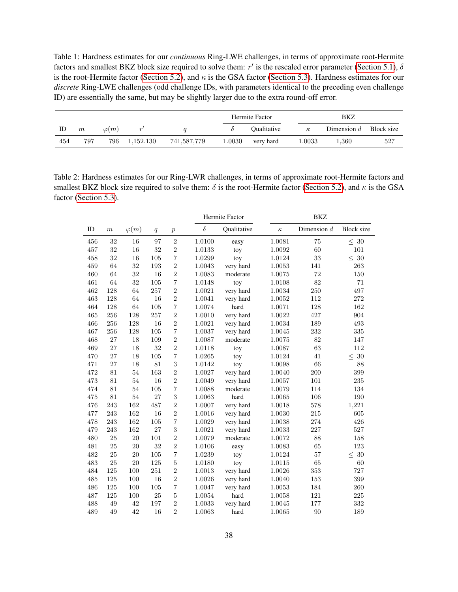Table 1: Hardness estimates for our *continuous* Ring-LWE challenges, in terms of approximate root-Hermite factors and smallest BKZ block size required to solve them:  $r'$  is the rescaled error parameter [\(Section 5.1\)](#page-19-1),  $\delta$ is the root-Hermite factor [\(Section 5.2\)](#page-20-1), and  $\kappa$  is the GSA factor [\(Section 5.3\)](#page-20-2). Hardness estimates for our *discrete* Ring-LWE challenges (odd challenge IDs, with parameters identical to the preceding even challenge ID) are essentially the same, but may be slightly larger due to the extra round-off error.

|     |     |              |           |             |        | Hermite Factor            | BKZ      |               |            |
|-----|-----|--------------|-----------|-------------|--------|---------------------------|----------|---------------|------------|
| ID  | m   | $\varphi(m)$ | $\alpha$  |             |        | <i><b>Oualitative</b></i> | $\kappa$ | Dimension $d$ | Block size |
| 454 | 797 | 796          | 1,152.130 | 741,587,779 | 1.0030 | very hard                 | l.0033   | 1,360         | 527        |

<span id="page-37-0"></span>Table 2: Hardness estimates for our Ring-LWR challenges, in terms of approximate root-Hermite factors and smallest BKZ block size required to solve them:  $\delta$  is the root-Hermite factor [\(Section 5.2\)](#page-20-1), and  $\kappa$  is the GSA factor [\(Section 5.3\)](#page-20-2).

|     |       |              |     |                  |          | Hermite Factor |          | <b>BKZ</b>    |                   |  |  |
|-----|-------|--------------|-----|------------------|----------|----------------|----------|---------------|-------------------|--|--|
| ID  | $\,m$ | $\varphi(m)$ | q   | $\boldsymbol{p}$ | $\delta$ | Qualitative    | $\kappa$ | Dimension $d$ | <b>Block</b> size |  |  |
| 456 | 32    | 16           | 97  | $\overline{2}$   | 1.0100   | easy           | 1.0081   | 75            | $\leq~30$         |  |  |
| 457 | 32    | 16           | 32  | $\overline{2}$   | 1.0133   | toy            | 1.0092   | 60            | 101               |  |  |
| 458 | 32    | 16           | 105 | 7                | 1.0299   | toy            | 1.0124   | 33            | $\leq 30$         |  |  |
| 459 | 64    | 32           | 193 | $\overline{2}$   | 1.0043   | very hard      | 1.0053   | 141           | 263               |  |  |
| 460 | 64    | 32           | 16  | $\overline{2}$   | 1.0083   | moderate       | 1.0075   | 72            | 150               |  |  |
| 461 | 64    | 32           | 105 | $\overline{7}$   | 1.0148   | toy            | 1.0108   | 82            | 71                |  |  |
| 462 | 128   | 64           | 257 | $\overline{2}$   | 1.0021   | very hard      | 1.0034   | 250           | 497               |  |  |
| 463 | 128   | 64           | 16  | $\overline{2}$   | 1.0041   | very hard      | 1.0052   | 112           | 272               |  |  |
| 464 | 128   | 64           | 105 | 7                | 1.0074   | hard           | 1.0071   | 128           | 162               |  |  |
| 465 | 256   | 128          | 257 | $\overline{2}$   | 1.0010   | very hard      | 1.0022   | 427           | 904               |  |  |
| 466 | 256   | 128          | 16  | $\overline{2}$   | 1.0021   | very hard      | 1.0034   | 189           | 493               |  |  |
| 467 | 256   | 128          | 105 | 7                | 1.0037   | very hard      | 1.0045   | 232           | 335               |  |  |
| 468 | 27    | 18           | 109 | $\overline{2}$   | 1.0087   | moderate       | 1.0075   | 82            | 147               |  |  |
| 469 | 27    | 18           | 32  | $\overline{2}$   | 1.0118   | toy            | 1.0087   | 63            | 112               |  |  |
| 470 | 27    | 18           | 105 | $\overline{7}$   | 1.0265   | toy            | 1.0124   | 41            | $\leq~30$         |  |  |
| 471 | 27    | 18           | 81  | 3                | 1.0142   | toy            | 1.0098   | 66            | 88                |  |  |
| 472 | 81    | 54           | 163 | $\overline{2}$   | 1.0027   | very hard      | 1.0040   | 200           | 399               |  |  |
| 473 | 81    | 54           | 16  | $\overline{2}$   | 1.0049   | very hard      | 1.0057   | 101           | 235               |  |  |
| 474 | 81    | 54           | 105 | $\overline{7}$   | 1.0088   | moderate       | 1.0079   | 114           | 134               |  |  |
| 475 | 81    | $54\,$       | 27  | 3                | 1.0063   | hard           | 1.0065   | 106           | 190               |  |  |
| 476 | 243   | 162          | 487 | $\overline{2}$   | 1.0007   | very hard      | 1.0018   | 578           | 1,221             |  |  |
| 477 | 243   | 162          | 16  | $\overline{2}$   | 1.0016   | very hard      | 1.0030   | 215           | 605               |  |  |
| 478 | 243   | 162          | 105 | $\overline{7}$   | 1.0029   | very hard      | 1.0038   | 274           | 426               |  |  |
| 479 | 243   | 162          | 27  | 3                | 1.0021   | very hard      | 1.0033   | 227           | 527               |  |  |
| 480 | 25    | 20           | 101 | $\overline{2}$   | 1.0079   | moderate       | 1.0072   | 88            | 158               |  |  |
| 481 | 25    | 20           | 32  | $\overline{2}$   | 1.0106   | easy           | 1.0083   | 65            | 123               |  |  |
| 482 | 25    | 20           | 105 | $\overline{7}$   | 1.0239   | toy            | 1.0124   | 57            | $\leq 30$         |  |  |
| 483 | 25    | 20           | 125 | $\overline{5}$   | 1.0180   | toy            | 1.0115   | 65            | 60                |  |  |
| 484 | 125   | 100          | 251 | $\overline{2}$   | 1.0013   | very hard      | 1.0026   | 353           | 727               |  |  |
| 485 | 125   | 100          | 16  | $\overline{2}$   | 1.0026   | very hard      | 1.0040   | 153           | 399               |  |  |
| 486 | 125   | 100          | 105 | 7                | 1.0047   | very hard      | 1.0053   | 184           | 260               |  |  |
| 487 | 125   | 100          | 25  | $\bf 5$          | 1.0054   | hard           | 1.0058   | 121           | 225               |  |  |
| 488 | 49    | 42           | 197 | $\overline{2}$   | 1.0033   | very hard      | 1.0045   | 177           | 332               |  |  |
| 489 | 49    | 42           | 16  | $\overline{2}$   | 1.0063   | hard           | 1.0065   | 90            | 189               |  |  |